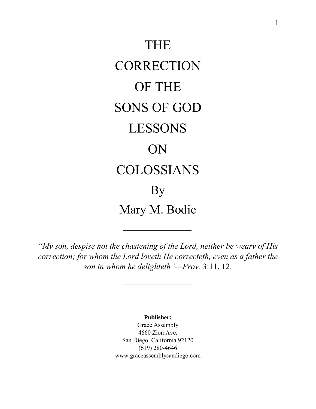

*"My son, despise not the chastening of the Lord, neither be weary of His correction; for whom the Lord loveth He correcteth, even as a father the son in whom he delighteth"—Prov.* 3:11, 12.

> **Publisher:** Grace Assembly

4660 Zion Ave. San Diego, California 92120 (619) 280-4646 www.graceassemblysandiego.com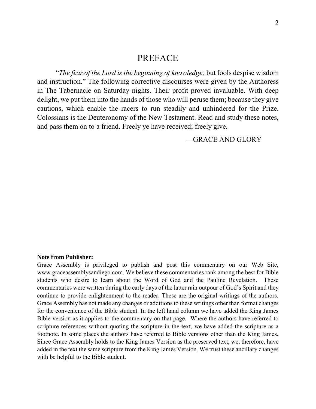# PREFACE

"*The fear of the Lord is the beginning of knowledge;* but fools despise wisdom and instruction." The following corrective discourses were given by the Authoress in The Tabernacle on Saturday nights. Their profit proved invaluable. With deep delight, we put them into the hands of those who will peruse them; because they give cautions, which enable the racers to run steadily and unhindered for the Prize. Colossians is the Deuteronomy of the New Testament. Read and study these notes, and pass them on to a friend. Freely ye have received; freely give.

—GRACE AND GLORY

#### **Note from Publisher:**

Grace Assembly is privileged to publish and post this commentary on our Web Site, www.graceassemblysandiego.com. We believe these commentaries rank among the best for Bible students who desire to learn about the Word of God and the Pauline Revelation. These commentaries were written during the early days of the latter rain outpour of God's Spirit and they continue to provide enlightenment to the reader. These are the original writings of the authors. Grace Assembly has not made any changes or additions to these writings other than format changes for the convenience of the Bible student. In the left hand column we have added the King James Bible version as it applies to the commentary on that page. Where the authors have referred to scripture references without quoting the scripture in the text, we have added the scripture as a footnote. In some places the authors have referred to Bible versions other than the King James. Since Grace Assembly holds to the King James Version as the preserved text, we, therefore, have added in the text the same scripture from the King James Version. We trust these ancillary changes with be helpful to the Bible student.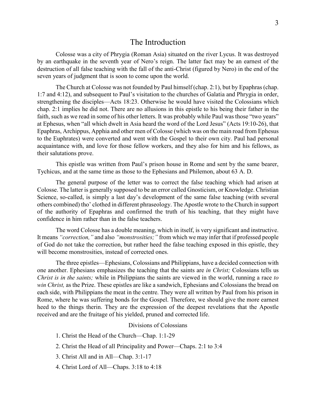## The Introduction

Colosse was a city of Phrygia (Roman Asia) situated on the river Lycus. It was destroyed by an earthquake in the seventh year of Nero's reign. The latter fact may be an earnest of the destruction of all false teaching with the fall of the anti-Christ (figured by Nero) in the end of the seven years of judgment that is soon to come upon the world.

The Church at Colosse was not founded by Paul himself (chap. 2:1), but by Epaphras (chap. 1:7 and 4:12), and subsequent to Paul's visitation to the churches of Galatia and Phrygia in order, strengthening the disciples—Acts 18:23. Otherwise he would have visited the Colossians which chap. 2:1 implies he did not. There are no allusions in this epistle to his being their father in the faith, such as we read in some of his other letters. It was probably while Paul was those "two years" at Ephesus, when "all which dwelt in Asia heard the word of the Lord Jesus" (Acts 19:10-26), that Epaphras, Archippus, Apphia and other men of Colosse (which was on the main road from Ephesus to the Euphrates) were converted and went with the Gospel to their own city. Paul had personal acquaintance with, and love for those fellow workers, and they also for him and his fellows, as their salutations prove.

This epistle was written from Paul's prison house in Rome and sent by the same bearer, Tychicus, and at the same time as those to the Ephesians and Philemon, about 63 A. D.

The general purpose of the letter was to correct the false teaching which had arisen at Colosse. The latter is generally supposed to be an error called Gnosticism, or Knowledge. Christian Science, so-called, is simply a last day's development of the same false teaching (with several others combined) tho' clothed in different phraseology. The Apostle wrote to the Church in support of the authority of Epaphras and confirmed the truth of his teaching, that they might have confidence in him rather than in the false teachers.

The word Colosse has a double meaning, which in itself, is very significant and instructive. It means *"correction,"* and also *"monstrosities;"* from which we may infer that if professed people of God do not take the correction, but rather heed the false teaching exposed in this epistle, they will become monstrosities, instead of corrected ones.

The three epistles—Ephesians, Colossians and Philippians, have a decided connection with one another. Ephesians emphasizes the teaching that the saints are *in Christ;* Colossians tells us *Christ is in the saints;* while in Philippians the saints are viewed in the world, running a race *to win Christ,* as the Prize. These epistles are like a sandwich, Ephesians and Colossians the bread on each side, with Philippians the meat in the centre. They were all written by Paul from his prison in Rome, where he was suffering bonds for the Gospel. Therefore, we should give the more earnest heed to the things therin. They are the expression of the deepest revelations that the Apostle received and are the fruitage of his yielded, pruned and corrected life.

#### Divisions of Colossians

- 1. Christ the Head of the Church—Chap. 1:1-29
- 2. Christ the Head of all Principality and Power—Chaps. 2:1 to 3:4
- 3. Christ All and in All—Chap. 3:1-17
- 4. Christ Lord of All—Chaps. 3:18 to 4:18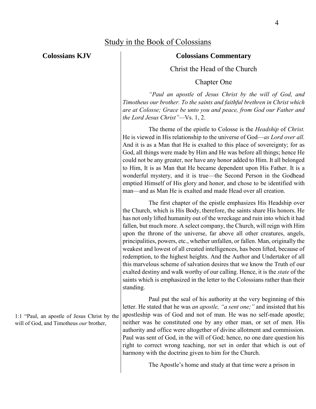**Colossians KJV**

### **Colossians Commentary**

Christ the Head of the Church

Chapter One

*"Paul an apostle* of *Jesus Christ by the will of God, and Timotheus our brother. To the saints and faithful brethren in Christ which are at Colosse; Grace be unto you and peace, from God our Father and the Lord Jesus Christ"—*Vs. 1, 2.

The theme of the epistle to Colosse is the *Headship* of *Christ.*  He is viewed in His relationship to the universe of God—*as Lord over all.*  And it is as a Man that He is exalted to this place of sovereignty; for as God, all things were made by Him and He was before all things; hence He could not be any greater, nor have any honor added to Him. It all belonged to Him, It is as Man that He became dependent upon His Father. It is a wonderful mystery, and it is true—the Second Person in the Godhead emptied Himself of His glory and honor, and chose to be identified with man—and as Man He is exalted and made Head over all creation.

The first chapter of the epistle emphasizes His Headship over the Church, which is His Body, therefore, the saints share His honors. He has not only lifted humanity out of the wreckage and ruin into which it had fallen, but much more. A select company, the Church, will reign with Him upon the throne of the universe, far above all other creatures, angels, principalities, powers, etc., whether unfallen, or fallen. Man, originally the weakest and lowest of all created intelligences, has been lifted, because of redemption, to the highest heights. And the Author and Undertaker of all this marvelous scheme of salvation desires that we know the Truth of our exalted destiny and walk worthy of our calling. Hence, it is the *state* of the saints which is emphasized in the letter to the Colossians rather than their standing.

Paul put the seal of his authority at the very beginning of this letter. He stated that he was *an apostle, "a sent one;"* and insisted that his apostleship was of God and not of man. He was no self-made apostle; neither was he constituted one by any other man, or set of men. His authority and office were altogether of divine allotment and commission. Paul was sent of God, in the will of God; hence, no one dare question his right to correct wrong teaching, nor set in order that which is out of harmony with the doctrine given to him for the Church.

The Apostle's home and study at that time were a prison in

1:1 "Paul, an apostle of Jesus Christ by the will of God, and Timotheus *our* brother,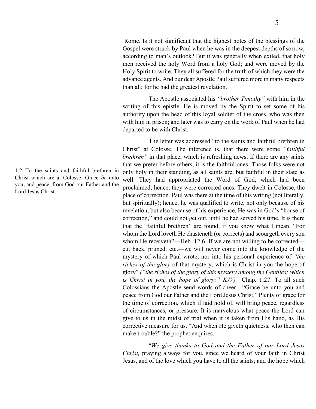Rome. Is it not significant that the highest notes of the blessings of the Gospel were struck by Paul when he was in the deepest depths of sorrow, according to man's outlook? But it was generally when exiled, that holy men received the holy Word from a holy God; and were moved by the Holy Spirit to write. They all suffered for the truth of which they were the advance agents. And our dear Apostle Paul suffered more in many respects than all; for he had the greatest revelation.

The Apostle associated his *"brother Timothy"* with him in the writing of this epistle. He is moved by the Spirit to set some of his authority upon the head of this loyal soldier of the cross, who was then with him in prison; and later was to carry on the work of Paul when he had departed to be with Christ.

The letter was addressed "to the saints and faithful brethren in Christ" at Colosse. The inference is, that there were some *"faithful brethren*" in that place, which is refreshing news. If there are any saints that we prefer before others, it is the faithful ones. Those folks were not only holy in their standing, as all saints are, but faithful in their state as well. They had appropriated the Word of God, which had been proclaimed; hence, they were corrected ones. They dwelt in Colosse, the place of correction. Paul was there at the time of this writing (not literally, but spiritually); hence, he was qualified to write, not only because of his revelation, but also because of his experience. He was in God's "house of correction," and could not get out, until he had served his time. It is there that the "faithful brethren" are found, if you know what I mean. "For whom the Lord loveth He chasteneth (or corrects) and scourgeth every son whom He receiveth"—Heb. 12:6. If we are not willing to be corrected cut back, pruned, etc.—we will never come into the knowledge of the mystery of which Paul wrote, nor into his personal experience of *"the riches of the glory* of that mystery, which is Christ in you the hope of glory" *("the riches of the glory of this mystery among the Gentiles; which is Christ in you, the hope of glory:" KJV)*—Chap. 1:27. To all such Colossians the Apostle send words of cheer—"Grace be unto you and peace from God our Father and the Lord Jesus Christ." Plenty of grace for the time of correction, which if laid hold of, will bring peace, regardless of circumstances, or pressure. It is marvelous what peace the Lord can give to us in the midst of trial when it is taken from His hand, as His corrective measure for us. "And when He giveth quietness, who then can make trouble?" the prophet enquires.

"*We give thanks to God and the Father of our Lord Jesus Christ,* praying always for you, since we heard of your faith in Christ Jesus, and of the love which you have to all the saints; and the hope which

1:2 To the saints and faithful brethren in Christ which are at Colosse: Grace *be* unto you, and peace, from God our Father and the Lord Jesus Christ.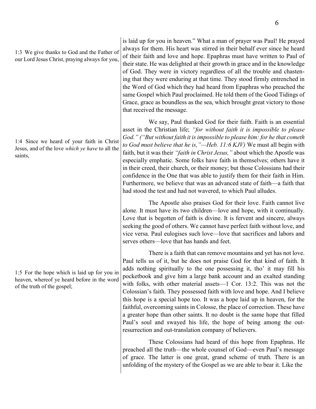1:4 Since we heard of your faith in Christ Jesus, and of the love *which ye have* to all the saints,

1:5 For the hope which is laid up for you in heaven, whereof ye heard before in the word of the truth of the gospel;

is laid up for you in heaven." What a man of prayer was Paul! He prayed always for them. His heart was stirred in their behalf ever since he heard of their faith and love and hope. Epaphras must have written to Paul of their state. He was delighted at their growth in grace and in the knowledge of God. They were in victory regardless of all the trouble and chastening that they were enduring at that time. They stood firmly entrenched in the Word of God which they had heard from Epaphras who preached the same Gospel which Paul proclaimed. He told them of the Good Tidings of Grace, grace as boundless as the sea, which brought great victory to those that received the message.

We say, Paul thanked God for their faith. Faith is an essential asset in the Christian life; *"for without faith it is impossible to please God." ("But without faith it is impossible to please him: for he that cometh to God must believe that he is,"—Heb. 11:6 KJV)* We must all begin with faith, but it was their *"faith in Christ Jesus,"* about which the Apostle was especially emphatic. Some folks have faith in themselves; others have it in their creed, their church, or their money; but those Colossians had their confidence in the One that was able to justify them for their faith in Him. Furthermore, we believe that was an advanced state of faith—a faith that had stood the test and had not wavered, to which Paul alludes.

The Apostle also praises God for their love. Faith cannot live alone. It must have its two children—love and hope, with it continually. Love that is begotten of faith is divine. It is fervent and sincere, always seeking the good of others. We cannot have perfect faith without love, and vice versa. Paul eulogises such love—love that sacrifices and labors and serves others—love that has hands and feet.

There is a faith that can remove mountains and yet has not love. Paul tells us of it, but he does not praise God for that kind of faith. It adds nothing spiritually to the one possessing it, tho' it may fill his pocketbook and give him a large bank account and an exalted standing with folks, with other material assets—1 Cor. 13:2. This was not the Colossian's faith. They possessed faith with love and hope. And I believe this hope is a special hope too. It was a hope laid up in heaven, for the faithful, overcoming saints in Colosse, the place of correction. These have a greater hope than other saints. It no doubt is the same hope that filled Paul's soul and swayed his life, the hope of being among the outresurrection and out-translation company of believers.

These Colossians had heard of this hope from Epaphras. He preached all the truth—the whole counsel of God—even Paul's message of grace. The latter is one great, grand scheme of truth. There is an unfolding of the mystery of the Gospel as we are able to bear it. Like the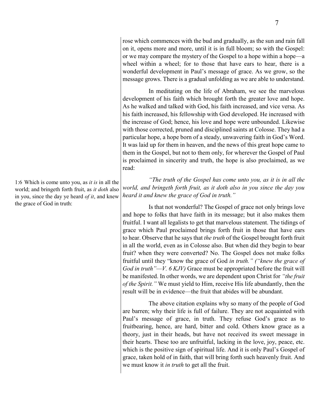rose which commences with the bud and gradually, as the sun and rain fall on it, opens more and more, until it is in full bloom; so with the Gospel: or we may compare the mystery of the Gospel to a hope within a hope—a wheel within a wheel; for to those that have ears to hear, there is a wonderful development in Paul's message of grace. As we grow, so the message grows. There is a gradual unfolding as we are able to understand.

In meditating on the life of Abraham, we see the marvelous development of his faith which brought forth the greater love and hope. As he walked and talked with God, his faith increased, and vice versa. As his faith increased, his fellowship with God developed. He increased with the increase of God; hence, his love and hope were unbounded. Likewise with those corrected, pruned and disciplined saints at Colosse. They had a particular hope, a hope born of a steady, unwavering faith in God's Word. It was laid up for them in heaven, and the news of this great hope came to them in the Gospel, but not to them only, for wherever the Gospel of Paul is proclaimed in sincerity and truth, the hope is also proclaimed, as we read:

*"The truth of the Gospel has come unto you, as it is in all the world, and bringeth forth fruit, as it doth also in you since the day you heard it and knew the grace of God in truth."*

Is that not wonderful? The Gospel of grace not only brings love and hope to folks that have faith in its message; but it also makes them fruitful. I want all legalists to get that marvelous statement. The tidings of grace which Paul proclaimed brings forth fruit in those that have ears to hear. Observe that he says that *the truth* of the Gospel brought forth fruit in all the world, even as in Colosse also. But when did they begin to bear fruit? when they were converted? No. The Gospel does not make folks fruitful until they "know the grace of God *in truth." ("knew the grace of God in truth"—V. 6 KJV)* Grace must be appropriated before the fruit will be manifested. In other words, we are dependent upon Christ for *"the fruit of the Spirit."* We must yield to Him, receive His life abundantly, then the result will be in evidence—the fruit that abides will be abundant.

The above citation explains why so many of the people of God are barren; why their life is full of failure. They are not acquainted with Paul's message of grace, in truth. They refuse God's grace as to fruitbearing, hence, are hard, bitter and cold. Others know grace as a theory, just in their heads, but have not received its sweet message in their hearts. These too are unfruitful, lacking in the love, joy, peace, etc. which is the positive sign of spiritual life. And it is only Paul's Gospel of grace, taken hold of in faith, that will bring forth such heavenly fruit. And we must know it *in truth* to get all the fruit.

1:6 Which is come unto you, as *it is* in all the world; and bringeth forth fruit, as *it doth* also in you, since the day ye heard *of it*, and knew the grace of God in truth: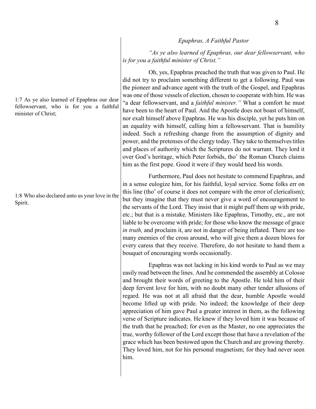*Epaphras, A Faithful Pastor* 

*"As ye also learned of Epaphras, our dear fellowservant, who is for you a faithful minister of Christ."*

Oh, yes, Epaphras preached the truth that was given to Paul. He did not try to proclaim something different to get a following. Paul was the pioneer and advance agent with the truth of the Gospel, and Epaphras was one of those vessels of election, chosen to cooperate with him. He was "a dear fellowservant, and a *faithful minister."* What a comfort he must have been to the heart of Paul. And the Apostle does not boast of himself, nor exalt himself above Epaphras. He was his disciple, yet he puts him on an equality with himself, calling him a fellowservant. That is humility indeed. Such a refreshing change from the assumption of dignity and power, and the pretenses of the clergy today. They take to themselvestitles and places of authority which the Scriptures do not warrant. They lord it over God's heritage, which Peter forbids, tho' the Roman Church claims him as the first pope. Good it were if they would heed his words.

Furthermore, Paul does not hesitate to commend Epaphras, and in a sense eulogize him, for his faithful, loyal service. Some folks err on this line (tho' of course it does not compare with the error of clericalism); but they imagine that they must never give a word of encouragement to the servants of the Lord. They insist that it might puff them up with pride, etc.; but that is a mistake. Ministers like Epaphras, Timothy, etc., are not liable to be overcome with pride; for those who know the message of grace *in truth,* and proclaim it, are not in danger of being inflated. There are too many enemies of the cross around, who will give them a dozen blows for every caress that they receive. Therefore, do not hesitate to hand them a bouquet of encouraging words occasionally.

Epaphras was not lacking in his kind words to Paul as we may easily read between the lines. And he commended the assembly at Colosse and brought their words of greeting to the Apostle. He told him of their deep fervent love for him, with no doubt many other tender allusions of regard. He was not at all afraid that the dear, humble Apostle would become lifted up with pride. No indeed; the knowledge of their deep appreciation of him gave Paul a greater interest in them, as the following verse of Scripture indicates. He knew if they loved him it was because of the truth that he preached; for even as the Master, no one appreciates the true, worthy follower of the Lord except those that have a revelation of the grace which has been bestowed upon the Church and are growing thereby. They loved him, not for his personal magnetism; for they had never seen him.

1:7 As ye also learned of Epaphras our dear fellowservant, who is for you a faithful minister of Christ;

1:8 Who also declared unto us your love in the Spirit.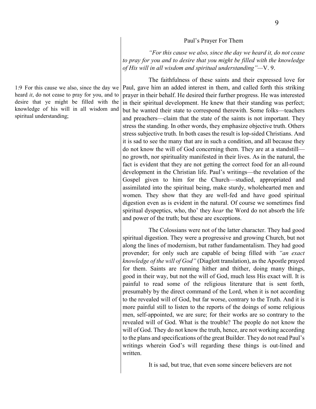#### Paul's Prayer For Them

*"For this cause we also, since the day we heard it, do not cease to pray for you and to desire that you might be filled with the knowledge of His will in all wisdom and spiritual understanding"—*V. 9.

The faithfulness of these saints and their expressed love for Paul, gave him an added interest in them, and called forth this striking prayer in their behalf. He desired their further progress. He was interested in their spiritual development. He knew that their standing was perfect; but he wanted their state to correspond therewith. Some folks—teachers and preachers—claim that the state of the saints is not important. They stress the standing. In other words, they emphasize objective truth. Others stress subjective truth. In both cases the result is lop-sided Christians. And it is sad to see the many that are in such a condition, and all because they do not know the will of God concerning them. They are at a standstill no growth, nor spirituality manifested in their lives. As in the natural, the fact is evident that they are not getting the correct food for an all-round development in the Christian life. Paul's writings—the revelation of the Gospel given to him for the Church—studied, appropriated and assimilated into the spiritual being, make sturdy, wholehearted men and women. They show that they are well-fed and have good spiritual digestion even as is evident in the natural. Of course we sometimes find spiritual dyspeptics, who, tho' they *hear* the Word do not absorb the life and power of the truth; but these are exceptions.

The Colossians were not of the latter character. They had good spiritual digestion. They were a progressive and growing Church, but not along the lines of modernism, but rather fundamentalism. They had good provender; for only such are capable of being filled with *"an exact knowledge of the will of God"* (Diaglott translation), as the Apostle prayed for them. Saints are running hither and thither, doing many things, good in their way, but not the will of God, much less His exact will. It is painful to read some of the religious literature that is sent forth, presumably by the direct command of the Lord, when it is not according to the revealed will of God, but far worse, contrary to the Truth. And it is more painful still to listen to the reports of the doings of some religious men, self-appointed, we are sure; for their works are so contrary to the revealed will of God. What is the trouble? The people do not know the will of God. They do not know the truth, hence, are not working according to the plans and specifications of the great Builder. They do not read Paul's writings wherein God's will regarding these things is out-lined and written.

It is sad, but true, that even some sincere believers are not

1:9 For this cause we also, since the day we heard *it*, do not cease to pray for you, and to desire that ye might be filled with the knowledge of his will in all wisdom and spiritual understanding;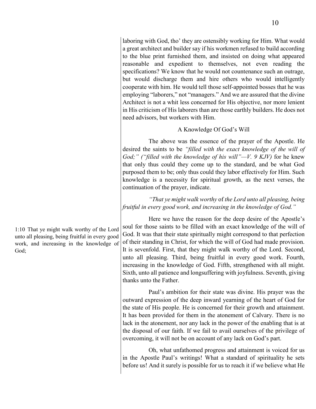laboring with God, tho' they are ostensibly working for Him. What would a great architect and builder say if his workmen refused to build according to the blue print furnished them, and insisted on doing what appeared reasonable and expedient to themselves, not even reading the specifications? We know that he would not countenance such an outrage, but would discharge them and hire others who would intelligently cooperate with him. He would tell those self-appointed bosses that he was employing "laborers," not "managers." And we are assured that the divine Architect is not a whit less concerned for His objective, nor more lenient in His criticism of His laborers than are those earthly builders. He does not need advisors, but workers with Him.

### A Knowledge Of God's Will

The above was the essence of the prayer of the Apostle. He desired the saints to be *"filled with the exact knowledge of the will of God;" ("filled with the knowledge of his will"—V. 9 KJV)* for he knew that only thus could they come up to the standard, and be what God purposed them to be; only thus could they labor effectively for Him. Such knowledge is a necessity for spiritual growth, as the next verses, the continuation of the prayer, indicate.

*"That ye might walk worthy* of *the Lord unto all pleasing, being fruitful in every good work, and increasing in the knowledge of God."*

Here we have the reason for the deep desire of the Apostle's soul for those saints to be filled with an exact knowledge of the will of God. It was that their state spiritually might correspond to that perfection of their standing in Christ, for which the will of God had made provision. It is sevenfold. First, that they might walk worthy of the Lord. Second, unto all pleasing. Third, being fruitful in every good work. Fourth, increasing in the knowledge of God. Fifth, strengthened with all might. Sixth, unto all patience and longsuffering with joyfulness. Seventh, giving thanks unto the Father.

Paul's ambition for their state was divine. His prayer was the outward expression of the deep inward yearning of the heart of God for the state of His people. He is concerned for their growth and attainment. It has been provided for them in the atonement of Calvary. There is no lack in the atonement, nor any lack in the power of the enabling that is at the disposal of our faith. If we fail to avail ourselves of the privilege of overcoming, it will not be on account of any lack on God's part.

Oh, what unfathomed progress and attainment is voiced for us in the Apostle Paul's writings! What a standard of spirituality he sets before us! And it surely is possible for us to reach it if we believe what He

1:10 That ye might walk worthy of the Lord unto all pleasing, being fruitful in every good work, and increasing in the knowledge of God;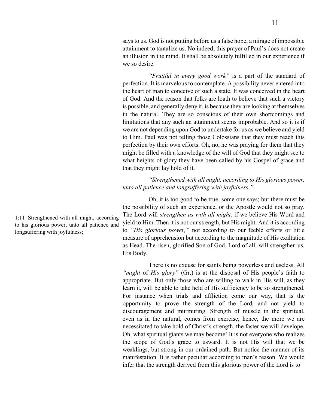says to us. God is not putting before us a false hope, a mirage of impossible attainment to tantalize us. No indeed; this prayer of Paul's does not create an illusion in the mind. It shall be absolutely fulfilled in our experience if we so desire.

*"Fruitful in every good work"* is a part of the standard of perfection. It is marvelous to contemplate. A possibility never entered into the heart of man to conceive of such a state. It was conceived in the heart of God. And the reason that folks are loath to believe that such a victory is possible, and generally deny it, is because they are looking at themselves in the natural. They are so conscious of their own shortcomings and limitations that any such an attainment seems improbable. And so it is if we are not depending upon God to undertake for us as we believe and yield to Him. Paul was not telling those Colossians that they must reach this perfection by their own efforts. Oh, no, he was praying for them that they might be filled with a knowledge of the will of God that they might see to what heights of glory they have been called by his Gospel of grace and that they might lay hold of it.

*"Strengthened with all might, according to His glorious power, unto all patience and longsuffering with joyfulness."*

Oh, it is too good to be true, some one says; but there must be the possibility of such an experience, or the Apostle would not so pray. The Lord will *strengthen us with all might,* if we believe His Word and yield to Him. Then it is not our strength, but His might. And it is according to *"His glorious power,"* not according to our feeble efforts or little measure of apprehension but according to the magnitude of His exaltation as Head. The risen, glorified Son of God, Lord of all, will strengthen us, His Body.

There is no excuse for saints being powerless and useless. All *"might* of *His glory"* (Gr.) is at the disposal of His people's faith to appropriate. But only those who are willing to walk in His will, as they learn it, will be able to take held of His sufficiency to be so strengthened. For instance when trials and affliction come our way, that is the opportunity to prove the strength of the Lord, and not yield to discouragement and murmuring. Strength of muscle in the spiritual, even as in the natural, comes from exercise; hence, the more we are necessitated to take hold of Christ's strength, the faster we will develope. Oh, what spiritual giants we may become! It is not everyone who realizes the scope of God's grace to usward. It is not His will that we be weaklings, but strong in our ordained path. But notice the manner of its manifestation. It is rather peculiar according to man's reason. We would infer that the strength derived from this glorious power of the Lord is to

1:11 Strengthened with all might, according to his glorious power, unto all patience and longsuffering with joyfulness;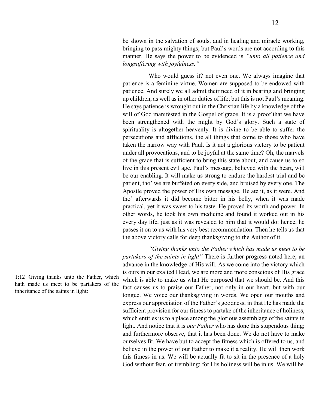be shown in the salvation of souls, and in healing and miracle working, bringing to pass mighty things; but Paul's words are not according to this manner. He says the power to be evidenced is *"unto all patience and longsuffering with joyfulness."*

Who would guess it? not even one. We always imagine that patience is a feminine virtue. Women are supposed to be endowed with patience. And surely we all admit their need of it in bearing and bringing up children, as well as in other duties of life; but this is not Paul's meaning. He says patience is wrought out in the Christian life by a knowledge of the will of God manifested in the Gospel of grace. It is a proof that we have been strengthened with the might by God's glory. Such a state of spirituality is altogether heavenly. It is divine to be able to suffer the persecutions and afflictions, the all things that come to those who have taken the narrow way with Paul. Is it not a glorious victory to be patient under all provocations, and to be joyful at the same time? Oh, the marvels of the grace that is sufficient to bring this state about, and cause us to so live in this present evil age. Paul's message, believed with the heart, will be our enabling. It will make us strong to endure the hardest trial and be patient, tho' we are buffeted on every side, and bruised by every one. The Apostle proved the power of His own message. He ate it, as it were. And tho' afterwards it did become bitter in his belly, when it was made practical, yet it was sweet to his taste. He proved its worth and power. In other words, he took his own medicine and found it worked out in his every day life, just as it was revealed to him that it would do: hence, he passes it on to us with his very best recommendation. Then he tells us that the above victory calls for deep thanksgiving to the Author of it.

*"Giving thanks unto the Father which has made us meet to be partakers of the saints in light"* There is further progress noted here; an advance in the knowledge of His will. As we come into the victory which is ours in our exalted Head, we are more and more conscious of His grace which is able to make us what He purposed that we should be. And this fact causes us to praise our Father, not only in our heart, but with our tongue. We voice our thanksgiving in words. We open our mouths and express our appreciation of the Father's goodness, in that He has made the sufficient provision for our fitness to partake of the inheritance of holiness, which entitles us to a place among the glorious assemblage of the saints in light. And notice that it is *our Father* who has done this stupendous thing; and furthermore observe, that it has been done. We do not have to make ourselves fit. We have but to accept the fitness which is offered to us, and believe in the power of our Father to make it a reality. He will then work this fitness in us. We will be actually fit to sit in the presence of a holy God without fear, or trembling; for His holiness will be in us. We will be

1:12 Giving thanks unto the Father, which hath made us meet to be partakers of the inheritance of the saints in light: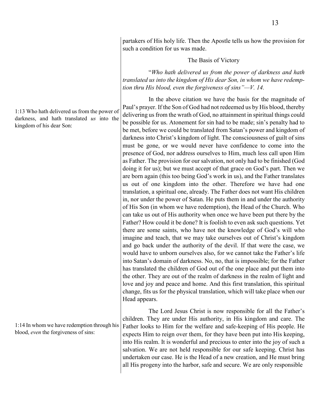partakers of His holy life. Then the Apostle tells us how the provision for such a condition for us was made.

The Basis of Victory

"*Who hath delivered us from the power of darkness and hath translated us into the kingdom of His dear Son, in whom we have redemption thru His blood, even the forgiveness of sins"—V. 14.*

In the above citation we have the basis for the magnitude of Paul's prayer. If the Son of God had not redeemed us by His blood, thereby delivering us from the wrath of God, no attainment in spiritual things could be possible for us. Atonement for sin had to be made; sin's penalty had to be met, before we could be translated from Satan's power and kingdom of darkness into Christ's kingdom of light. The consciousness of guilt of sins must be gone, or we would never have confidence to come into the presence of God, nor address ourselves to Him, much less call upon Him as Father. The provision for our salvation, not only had to be finished (God doing it for us); but we must accept of that grace on God's part. Then we are born again (this too being God's work in us), and the Father translates us out of one kingdom into the other. Therefore we have had one translation, a spiritual one, already. The Father does not want His children in, nor under the power of Satan. He puts them in and under the authority of His Son (in whom we have redemption), the Head of the Church. Who can take us out of His authority when once we have been put there by the Father? How could it be done? It is foolish to even ask such questions. Yet there are some saints, who have not the knowledge of God's will who imagine and teach, that we may take ourselves out of Christ's kingdom and go back under the authority of the devil. If that were the case, we would have to unborn ourselves also, for we cannot take the Father's life into Satan's domain of darkness. No, no, that is impossible; for the Father has translated the children of God out of the one place and put them into the other. They are out of the realm of darkness in the realm of light and love and joy and peace and home. And this first translation, this spiritual change, fits us for the physical translation, which will take place when our Head appears.

The Lord Jesus Christ is now responsible for all the Father's children. They are under His authority, in His kingdom and care. The Father looks to Him for the welfare and safe-keeping of His people. He expects Him to reign over them, for they have been put into His keeping, into His realm. It is wonderful and precious to enter into the joy of such a salvation. We are not held responsible for our safe keeping. Christ has undertaken our case. He is the Head of a new creation, and He must bring all His progeny into the harbor, safe and secure. We are only responsible

1:13 Who hath delivered us from the power of darkness, and hath translated *us* into the kingdom of his dear Son:

1:14 In whom we have redemption through his blood, *even* the forgiveness of sins: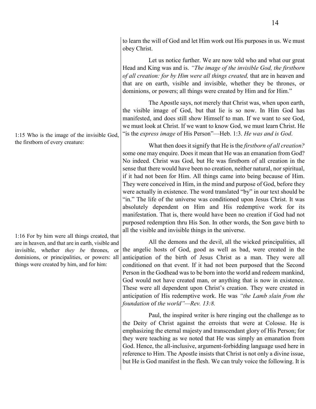Let us notice further. We are now told who and what our great Head and King was and is. *"The image of the invisible God, the firstborn of all creation: for by Him were all things created,* that are in heaven and that are on earth, visible and invisible, whether they be thrones, or dominions, or powers; all things were created by Him and for Him."

The Apostle says, not merely that Christ was, when upon earth, the visible image of God, but that lie is so now. In Him God has manifested, and does still show Himself to man. If we want to see God, we must look at Christ. If we want to know God, we must learn Christ. He "is the *express image* of His Person"—Heb. 1:3. *He was and is God*.

What then does it signify that He is the *firstborn of all creation?*  some one may enquire. Does it mean that He was an emanation from God? No indeed. Christ was God, but He was firstborn of all creation in the sense that there would have been no creation, neither natural, nor spiritual, if it had not been for Him. All things came into being because of Him. They were conceived in Him, in the mind and purpose of God, before they were actually in existence. The word translated "by" in our text should be "in." The life of the universe was conditioned upon Jesus Christ. It was absolutely dependent on Him and His redemptive work for its manifestation. That is, there would have been no creation if God had not purposed redemption thru His Son. In other words, the Son gave birth to all the visible and invisible things in the universe.

All the demons and the devil, all the wicked principalities, all the angelic hosts of God, good as well as bad, were created in the anticipation of the birth of Jesus Christ as a man. They were all conditioned on that event. If it had not been purposed that the Second Person in the Godhead was to be born into the world and redeem mankind, God would not have created man, or anything that is now in existence. These were all dependent upon Christ's creation. They were created in anticipation of His redemptive work. He was *"the Lamb slain from the foundation* of *the world"—Rev. 13:8.*

Paul, the inspired writer is here ringing out the challenge as to the Deity of Christ against the erroists that were at Colosse. He is emphasizing the eternal majesty and transcendant glory of His Person; for they were teaching as we noted that He was simply an emanation from God. Hence, the all-inclusive, argument-forbidding language used here in reference to Him. The Apostle insists that Christ is not only a divine issue, but He is God manifest in the flesh. We can truly voice the following. It is

1:15 Who is the image of the invisible God, the firstborn of every creature:

1:16 For by him were all things created, that are in heaven, and that are in earth, visible and invisible, whether *they be* thrones, or dominions, or principalities, or powers: all things were created by him, and for him: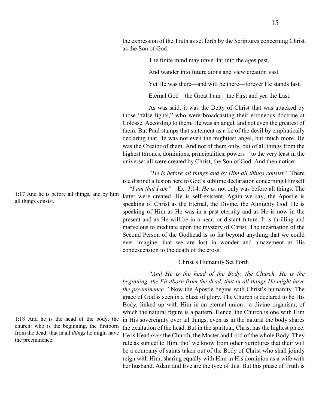1:17 And he is before all things, and by him all things consist.

1:18 And he is the head of the body, the church: who is the beginning, the firstborn from the dead; that in all *things* he might have the preeminence.

the expression of the Truth as set forth by the Scriptures concerning Christ as the Son of God.

The finite mind may travel far into the ages past,

And wander into future aions and view creation vast.

Yet He was there—and will be there—forever He stands fast.

Eternal God—the Great I am—the First and yea the Last.

As was said, it was the Deity of Christ that was attacked by those "false lights," who were broadcasting their erroneous doctrine at Colosse. According to them, He was an angel, and not even the greatest of them. But Paul stamps that statement as a lie of the devil by emphatically declaring that He was not even the mightiest angel, but much more. He was the Creator of them. And not of them only, but of all things from the highest thrones, dominions, principalities, powers—to the very least in the universe: all were created by Christ, the Son of God. And then notice:

*"He is before all things and by Him all things consist."* There is a distinct allusion here to God's sublime declaration concerning Himself —*"I am that I am"*—Ex. 3:14. *He is,* not only was before all things. The latter were created. He is self-existent. Again we say, the Apostle is speaking of Christ as the Eternal, the Divine, the Almighty God. He is speaking of Him as He was in a past eternity and as He is now in the present and as He will be in a near, or distant future. It is thrilling and marvelous to meditate upon the mystery of Christ. The incarnation of the Second Person of the Godhead is so far beyond anything that we could ever imagine, that we are lost in wonder and amazement at His condescension to the death of the cross.

### Christ's Humanity Set Forth

"And He is the head of the Body, the Church. He is the *beginning, the Firstborn from the dead, that in all things He might have the preeminence."* Now the Apostle begins with Christ's humanity. The grace of God is seen in a blaze of glory. The Church is declared to be His Body, linked up with Him in an eternal union—a divine organism, of which the natural figure is a pattern. Hence, the Church is one with Him in His sovereignty over all things, even as in the natural the body shares the exaltation of the head. But in the spiritual, Christ has the highest place. He is Head *over* the Church, the Master and Lord of the whole Body. They rule as subject to Him, tho' we know from other Scriptures that their will be a company of saints taken out of the Body of Christ who shall jointly reign with Him, sharing equally with Him in His dominion as a wife with her husband. Adam and Eve are the type of this. But this phase of Truth is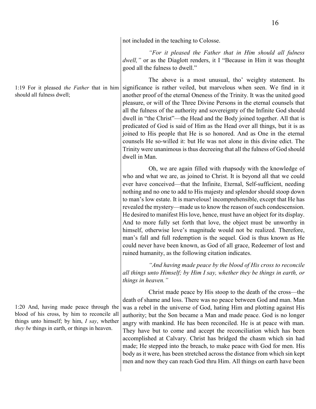not included in the teaching to Colosse.

*"For it pleased the Father that in Him should all fulness dwell,"* or as the Diaglott renders, it I "Because in Him it was thought good all the fulness to dwell."

The above is a most unusual, tho' weighty statement. Its significance is rather veiled, but marvelous when seen. We find in it another proof of the eternal Oneness of the Trinity. It was the united good pleasure, or will of the Three Divine Persons in the eternal counsels that all the fulness of the authority and sovereignty of the Infinite God should dwell in "the Christ"—the Head and the Body joined together. All that is predicated of God is said of Him as the Head over all things, but it is as joined to His people that He is so honored. And as One in the eternal counsels He so-willed it: but He was not alone in this divine edict. The Trinity were unanimous is thus decreeing that all the fulness of God should dwell in Man.

Oh, we are again filled with rhapsody with the knowledge of who and what we are, as joined to Christ. It is beyond all that we could ever have conceived—that the Infinite, Eternal, Self-sufficient, needing nothing and no one to add to His majesty and splendor should stoop down to man's low estate. It is marvelous! incomprehensible, except that He has revealed the mystery—made us to know the reason of such condescension. He desired to manifest His love, hence, must have an object for its display. And to more fully set forth that love, the object must be unworthy in himself, otherwise love's magnitude would not be realized. Therefore, man's fall and full redemption is the sequel. God is thus known as He could never have been known, as God of all grace, Redeemer of lost and ruined humanity, as the following citation indicates.

*"And having made peace by the blood of His cross to reconcile all things unto Himself; by Him I say, whether they be things in earth, or things in heaven."*

Christ made peace by His stoop to the death of the cross—the death of shame and loss. There was no peace between God and man. Man was a rebel in the universe of God, hating Him and plotting against His authority; but the Son became a Man and made peace. God is no longer angry with mankind. He has been reconciled. He is at peace with man. They have but to come and accept the reconciliation which has been accomplished at Calvary. Christ has bridged the chasm which sin had made; He stepped into the breach, to make peace with God for men. His body as it were, has been stretched across the distance from which sin kept men and now they can reach God thru Him. All things on earth have been

1:20 And, having made peace through the blood of his cross, by him to reconcile all things unto himself; by him, *I say*, whether *they be* things in earth, or things in heaven.

1:19 For it pleased *the Father* that in him should all fulness dwell;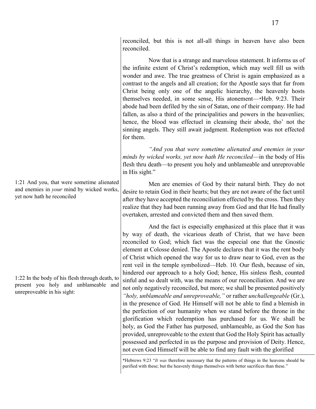reconciled, but this is not all-all things in heaven have also been reconciled.

Now that is a strange and marvelous statement. It informs us of the infinite extent of Christ's redemption, which may well fill us with wonder and awe. The true greatness of Christ is again emphasized as a contrast to the angels and all creation; for the Apostle says that fur from Christ being only one of the angelic hierarchy, the heavenly hosts themselves needed, in some sense, His atonement—\*Heb. 9:23. Their abode had been defiled by the sin of Satan, one of their company. He had fallen, as also a third of the principalities and powers in the heavenlies; hence, the blood was effectuel in cleansing their abode, tho' not the sinning angels. They still await judgment. Redemption was not effected for them.

*"And you that were sometime alienated and enemies in your minds by wicked works, yet now hath He reconciled*—in the body of His flesh thru death—to present you holy and unblameable and unreprovable in His sight."

Men are enemies of God by their natural birth. They do not desire to retain God in their hearts; but they are not aware of the fact until after they have accepted the reconciliation effected by the cross. Then they realize that they had been running away from God and that He had finally overtaken, arrested and convicted them and then saved them.

And the fact is especially emphasized at this place that it was by way of death, the vicarious death of Christ, that we have been reconciled to God; which fact was the especial one that the Gnostic element at Colosse denied. The Apostle declares that it was the rent body of Christ which opened the way for us to draw near to God, even as the rent veil in the temple symbolized—Heb. 10. Our flesh, because of sin, hindered our approach to a holy God; hence, His sinless flesh, counted sinful and so dealt with, was the means of our reconciliation. And we are not only negatively reconciled, but more; we shall be presented positively *"holy, unblameable and unreproveable,"* or rather *unchallengeable* (Gr.), in the presence of God. He Himself will not be able to find a blemish in the perfection of our humanity when we stand before the throne in the glorification which redemption has purchased for us. We shall be holy, as God the Father has purposed, unblameable, as God the Son has provided, unreproveable to the extent that God the Holy Spirit has actually possessed and perfected in us the purpose and provision of Deity. Hence, not even God Himself will be able to find any fault with the glorified

\*Hebrews 9:23 "*It was* therefore necessary that the patterns of things in the heavens should be purified with these; but the heavenly things themselves with better sacrifices than these."

1:21 And you, that were sometime alienated and enemies in *your* mind by wicked works, yet now hath he reconciled

1:22 In the body of his flesh through death, to present you holy and unblameable and unreproveable in his sight: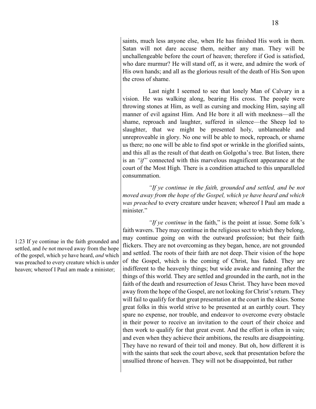saints, much less anyone else, when He has finished His work in them. Satan will not dare accuse them, neither any man. They will be unchallengeable before the court of heaven; therefore if God is satisfied, who dare murmur? He will stand off, as it were, and admire the work of His own hands; and all as the glorious result of the death of His Son upon the cross of shame.

Last night I seemed to see that lonely Man of Calvary in a vision. He was walking along, bearing His cross. The people were throwing stones at Him, as well as cursing and mocking Him, saying all manner of evil against Him. And He bore it all with meekness—all the shame, reproach and laughter, suffered in silence—the Sheep led to slaughter, that we might be presented holy, unblameable and unreproveable in glory. No one will be able to mock, reproach, or shame us there; no one will be able to find spot or wrinkle in the glorified saints, and this all as the result of that death on Golgotha's tree. But listen, there is an *"if"* connected with this marvelous magnificent appearance at the court of the Most High. There is a condition attached to this unparalleled consummation.

*"If ye continue in the faith, grounded and settled, and be not moved away from the hope of the Gospel, which ye have heard and which was preached* to every creature under heaven; whereof I Paul am made a minister."

*"If ye continue* in the faith," is the point at issue. Some folk's faith wavers. They may continue in the religious sect to which they belong, may continue going on with the outward profession; but their faith flickers. They are not overcoming as they began, hence, are not grounded and settled. The roots of their faith are not deep. Their vision of the hope of the Gospel, which is the coming of Christ, has faded. They are indifferent to the heavenly things; but wide awake and running after the things of this world. They are settled and grounded in the earth, not in the faith of the death and resurrection of Jesus Christ. They have been moved away from the hope of the Gospel, are not looking for Christ's return. They will fail to qualify for that great presentation at the court in the skies. Some great folks in this world strive to be presented at an earthly court. They spare no expense, nor trouble, and endeavor to overcome every obstacle in their power to receive an invitation to the court of their choice and then work to qualify for that great event. And the effort is often in vain; and even when they achieve their ambitions, the results are disappointing. They have no reward of their toil and money. But oh, how different it is with the saints that seek the court above, seek that presentation before the unsullied throne of heaven. They will not be disappointed, but rather

1:23 If ye continue in the faith grounded and settled, and *be* not moved away from the hope of the gospel, which ye have heard, *and* which was preached to every creature which is under heaven; whereof I Paul am made a minister;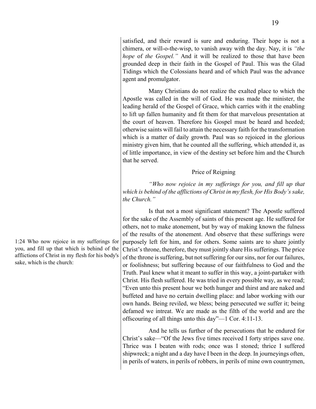satisfied, and their reward is sure and enduring. Their hope is not a chimera, or will-o-the-wisp, to vanish away with the day. Nay, it is *"the hope* of *the Gospel."* And it will be realized to those that have been grounded deep in their faith in the Gospel of Paul. This was the Glad Tidings which the Colossians heard and of which Paul was the advance agent and promulgator.

Many Christians do not realize the exalted place to which the Apostle was called in the will of God. He was made the minister, the leading herald of the Gospel of Grace, which carries with it the enabling to lift up fallen humanity and fit them for that marvelous presentation at the court of heaven. Therefore his Gospel must be heard and heeded; otherwise saints will fail to attain the necessary faith for the transformation which is a matter of daily growth. Paul was so rejoiced in the glorious ministry given him, that he counted all the suffering, which attended it, as of little importance, in view of the destiny set before him and the Church that he served.

### Price of Reigning

*"Who now rejoice in my sufferings for you, and fill up that which is behind of the afflictions of Christ in my flesh, for His Body's sake, the Church."*

Is that not a most significant statement? The Apostle suffered for the sake of the Assembly of saints of this present age. He suffered for others, not to make atonement, but by way of making known the fulness of the results of the atonement. And observe that these sufferings were purposely left for him, and for others. Some saints are to share jointly Christ's throne, therefore, they must jointly share His sufferings. The price of the throne is suffering, but not suffering for our sins, nor for our failures, or foolishness; but suffering because of our faithfulness to God and the Truth. Paul knew what it meant to suffer in this way, a joint-partaker with Christ. His flesh suffered. He was tried in every possible way, as we read; "Even unto this present hour we both hunger and thirst and are naked and buffeted and have no certain dwelling place: and labor working with our own hands. Being reviled, we bless; being persecuted we suffer it; being defamed we intreat. We are made as the filth of the world and are the offscouring of all things unto this day"—1 Cor. 4:11-13.

And he tells us further of the persecutions that he endured for Christ's sake—"Of the Jews five times received I forty stripes save one. Thrice was I beaten with rods; once was I stoned; thrice I suffered shipwreck; a night and a day have I been in the deep. In journeyings often, in perils of waters, in perils of robbers, in perils of mine own countrymen,

1:24 Who now rejoice in my sufferings for you, and fill up that which is behind of the afflictions of Christ in my flesh for his body's sake, which is the church: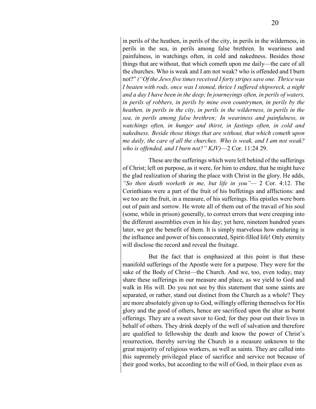in perils of the heathen, in perils of the city, in perils in the wilderness, in perils in the sea, in perils among false brethren. In weariness and painfulness, in watchings often, in cold and nakedness. Besides those things that are without, that which cometh upon me daily—the care of all the churches. Who is weak and I am not weak? who is offended and I burn not?" *("Of the Jews five times received I forty stripes save one. Thrice was I beaten with rods, once was I stoned, thrice I suffered shipwreck, a night and a day I have been in the deep;In journeyings often, in perils of waters, in perils of robbers, in perils by mine own countrymen, in perils by the heathen, in perils in the city, in perils in the wilderness, in perils in the sea, in perils among false brethren; In weariness and painfulness, in watchings often, in hunger and thirst, in fastings often, in cold and nakedness. Beside those things that are without, that which cometh upon me daily, the care of all the churches. Who is weak, and I am not weak? who is offended, and I burn not?" KJV)*—2 Cor. 11:24 29.

These are the sufferings which were left behind of the sufferings of Christ; left on purpose, as it were, for him to endure, that he might have the glad realization of sharing the place with Christ in the glory. He adds, *"So then death worketh in me, but life in you"—* 2 Cor. 4:12. The Corinthians were a part of the fruit of his buffetings and afflictions: and we too are the fruit, in a measure, of his sufferings. His epistles were born out of pain and sorrow. He wrote all of them out of the travail of his soul (some, while in prison) generally, to correct errors that were creeping into the different assemblies even in his day; yet here, nineteen hundred years later, we get the benefit of them. It is simply marvelous how enduring is the influence and power of his consecrated, Spirit-filled life! Only eternity will disclose the record and reveal the fruitage.

But the fact that is emphasized at this point is that these manifold sufferings of the Apostle were for a purpose. They were for the sake of the Body of Christ—the Church. And we, too, even today, may share these sufferings in our measure and place, as we yield to God and walk in His will. Do you not see by this statement that some saints are separated, or rather, stand out distinct from the Church as a whole? They are more absolutely given up to God, willingly offering themselves for His glory and the good of others, hence are sacrificed upon the altar as burnt offerings. They are a sweet savor to God; for they pour out their lives in behalf of others. They drink deeply of the well of salvation and therefore are qualified to fellowship the death and know the power of Christ's resurrection, thereby serving the Church in a measure unknown to the great majority of religious workers, as well as saints. They are called into this supremely privileged place of sacrifice and service not because of their good works, but according to the will of God, in their place even as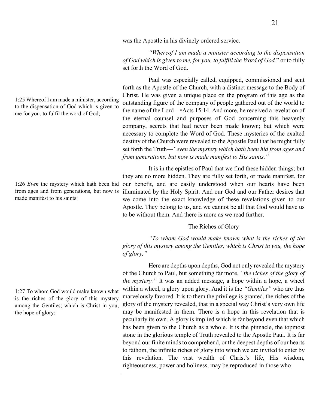1:25 Whereof I am made a minister, according to the dispensation of God which is given to me for you, to fulfil the word of God;

1:26 *Even* the mystery which hath been hid from ages and from generations, but now is made manifest to his saints:

1:27 To whom God would make known what is the riches of the glory of this mystery among the Gentiles; which is Christ in you, the hope of glory:

was the Apostle in his divinely ordered service.

*"Whereof I am made a minister according to the dispensation of God which is given to me, for you, to fulfill the Word of God.*" or to fully set forth the Word of God.

Paul was especially called, equipped, commissioned and sent forth as the Apostle of the Church, with a distinct message to the Body of Christ. He was given a unique place on the program of this age as the outstanding figure of the company of people gathered out of the world to the name of the Lord—\*Acts 15:14. And more, he received a revelation of the eternal counsel and purposes of God concerning this heavenly company, secrets that had never been made known; but which were necessary to complete the Word of God. These mysteries of the exalted destiny of the Church were revealed to the Apostle Paul that he might fully set forth the Truth—*"even the mystery which hath been hid from ages and from generations, but now is made manifest to His saints."*

It is in the epistles of Paul that we find these hidden things; but they are no more hidden. They are fully set forth, or made manifest, for our benefit, and are easily understood when our hearts have been illuminated by the Holy Spirit. And our God and our Father desires that we come into the exact knowledge of these revelations given to our Apostle. They belong to us, and we cannot be all that God would have us to be without them. And there is more as we read further.

### The Riches of Glory

*"To whom God would make known what is the riches of the glory of this mystery among the Gentiles, which is Christ in you, the hope of glory,"*

Here are depths upon depths, God not only revealed the mystery of the Church to Paul, but something far more, *"the riches of the glory of the mystery."* It was an added message, a hope within a hope, a wheel within a wheel, a glory upon glory. And it is the *"Gentiles"* who are thus marvelously favored. It is to them the privilege is granted, the riches of the glory of the mystery revealed, that in a special way Christ's very own life may be manifested in them. There is a hope in this revelation that is peculiarly its own. A glory is implied which is far beyond even that which has been given to the Church as a whole. It is the pinnacle, the topmost stone in the glorious temple of Truth revealed to the Apostle Paul. It is far beyond our finite minds to comprehend, or the deepest depths of our hearts to fathom, the infinite riches of glory into which we are invited to enter by this revelation. The vast wealth of Christ's life, His wisdom, righteousness, power and holiness, may be reproduced in those who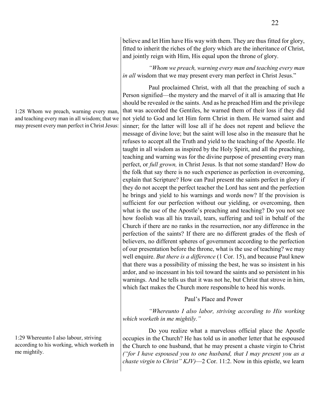believe and let Him have His way with them. They are thus fitted for glory, fitted to inherit the riches of the glory which are the inheritance of Christ, and jointly reign with Him, His equal upon the throne of glory.

*"Whom we preach, warning every man and teaching every man in all* wisdom that we may present every man perfect in Christ Jesus."

Paul proclaimed Christ, with all that the preaching of such a Person signified—the mystery and the marvel of it all is amazing that He should be revealed *in* the saints. And as he preached Him and the privilege that was accorded the Gentiles, he warned them of their loss if they did not yield to God and let Him form Christ in them. He warned saint and sinner; for the latter will lose all if he does not repent and believe the message of divine love; but the saint will lose also in the measure that he refuses to accept all the Truth and yield to the teaching of the Apostle. He taught in all wisdom as inspired by the Holy Spirit, and all the preaching, teaching and warning was for the divine purpose of presenting every man perfect, or *full grown,* in Christ Jesus. Is that not some standard? How do the folk that say there is no such experience as perfection in overcoming, explain that Scripture? How can Paul present the saints perfect in glory if they do not accept the perfect teacher the Lord has sent and the perfection he brings and yield to his warnings and words now? If the provision is sufficient for our perfection without our yielding, or overcoming, then what is the use of the Apostle's preaching and teaching? Do you not see how foolish was all his travail, tears, suffering and toil in behalf of the Church if there are no ranks in the resurrection, nor any difference in the perfection of the saints? If there are no different grades of the flesh of believers, no different spheres of government according to the perfection of our presentation before the throne, what is the use of teaching? we may well enquire. *But there is a difference* (1 Cor. 15), and because Paul knew that there was a possibility of missing the best, he was so insistent in his ardor, and so incessant in his toil toward the saints and so persistent in his warnings. And he tells us that it was not he, but Christ that strove in him, which fact makes the Church more responsible to heed his words.

### Paul's Place and Power

*"Whereunto I also labor, striving according to His working which worketh in me mightily."*

Do you realize what a marvelous official place the Apostle occupies in the Church? He has told us in another letter that he espoused the Church to one husband, that he may present a chaste virgin to Christ *("for I have espoused you to one husband, that I may present you as a chaste virgin to Christ" KJV)*—2 Cor. 11:2. Now in this epistle, we learn

1:28 Whom we preach, warning every man, and teaching every man in all wisdom; that we may present every man perfect in Christ Jesus:

1:29 Whereunto I also labour, striving according to his working, which worketh in me mightily.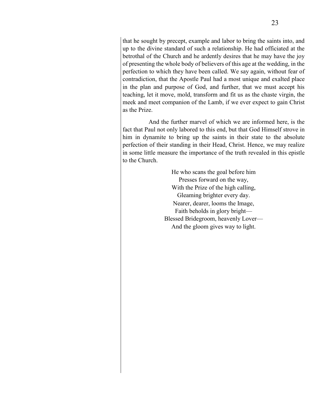that he sought by precept, example and labor to bring the saints into, and up to the divine standard of such a relationship. He had officiated at the betrothal of the Church and he ardently desires that he may have the joy of presenting the whole body of believers of this age at the wedding, in the perfection to which they have been called. We say again, without fear of contradiction, that the Apostle Paul had a most unique and exalted place in the plan and purpose of God, and further, that we must accept his teaching, let it move, mold, transform and fit us as the chaste virgin, the meek and meet companion of the Lamb, if we ever expect to gain Christ as the Prize.

And the further marvel of which we are informed here, is the fact that Paul not only labored to this end, but that God Himself strove in him in dynamite to bring up the saints in their state to the absolute perfection of their standing in their Head, Christ. Hence, we may realize in some little measure the importance of the truth revealed in this epistle to the Church.

> He who scans the goal before him Presses forward on the way, With the Prize of the high calling, Gleaming brighter every day. Nearer, dearer, looms the Image, Faith beholds in glory bright— Blessed Bridegroom, heavenly Lover— And the gloom gives way to light.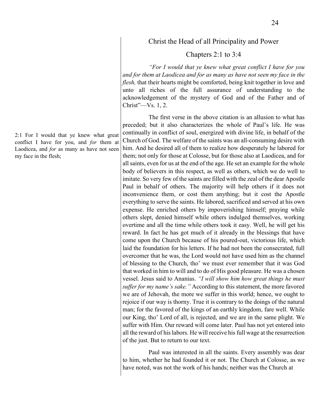### Christ the Head of all Principality and Power

### Chapters 2:1 to 3:4

*"For I would that ye knew what great conflict I have for you and for them at Laodicea and for as many as have not seen my face in the flesh,* that their hearts might be comforted, being knit together in love and unto all riches of the full assurance of understanding to the acknowledgement of the mystery of God and of the Father and of Christ"—Vs. 1, 2.

The first verse in the above citation is an allusion to what has preceded; but it also characterizes the whole of Paul's life. He was continually in conflict of soul, energized with divine life, in behalf of the Church of God. The welfare of the saints was an all-consuming desire with him. And he desired all of them to realize how desperately he labored for them; not only for those at Colosse, but for those also at Laodicea, and for all saints, even for us at the end of the age. He set an example for the whole body of believers in this respect, as well as others, which we do well to imitate. So very few of the saints are filled with the zeal of the dear Apostle Paul in behalf of others. The majority will help others if it does not inconvenience them, or cost them anything; but it cost the Apostle everything to serve the saints. He labored, sacrificed and served at his own expense. He enriched others by impoverishing himself; praying while others slept, denied himself while others indulged themselves, working overtime and all the time while others took it easy. Well, he will get his reward. In fact he has got much of it already in the blessings that have come upon the Church because of his poured-out, victorious life, which laid the foundation for his letters. If he had not been the consecrated, full overcomer that he was, the Lord would not have used him as the channel of blessing to the Church, tho' we must ever remember that it was God that worked in him to will and to do of His good pleasure. He was a chosen vessel. Jesus said to Ananias. *"I will show him how great things he must suffer for my name's sake."* According to this statement, the more favored we are of Jehovah, the more we suffer in this world; hence, we ought to rejoice if our way is thorny. True it is contrary to the doings of the natural man; for the favored of the kings of an earthly kingdom, fare well. While our King, tho' Lord of all, is rejected, and we are in the same plight. We suffer with Him. Our reward will come later. Paul has not yet entered into all the reward of his labors. He will receive his full wage at the resurrection of the just. But to return to our text.

Paul was interested in all the saints. Every assembly was dear to him, whether he had founded it or not. The Church at Colosse, as we have noted, was not the work of his hands; neither was the Church at

2:1 For I would that ye knew what great conflict I have for you, and *for* them at Laodicea, and *for* as many as have not seen my face in the flesh;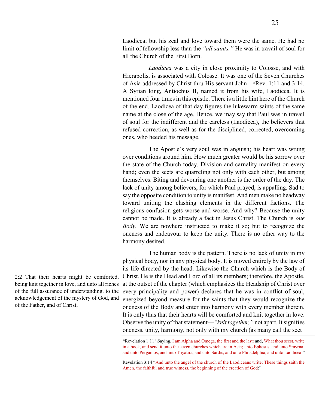Laodicea; but his zeal and love toward them were the same. He had no limit of fellowship less than the *"all saints."* He was in travail of soul for all the Church of the First Born.

*Laodicea* was a city in close proximity to Colosse, and with Hierapolis, is associated with Colosse. It was one of the Seven Churches of Asia addressed by Christ thru His servant John—\*Rev. 1:11 and 3:14. A Syrian king, Antiochus II, named it from his wife, Laodicea. It is mentioned four times in this epistle. There is a little hint here of the Church of the end. Laodicea of that day figures the lukewarm saints of the same name at the close of the age. Hence, we may say that Paul was in travail of soul for the indifferent and the careless (Laodicea), the believers that refused correction, as well as for the disciplined, corrected, overcoming ones, who heeded his message.

The Apostle's very soul was in anguish; his heart was wrung over conditions around him. How much greater would be his sorrow over the state of the Church today. Division and carnality manifest on every hand; even the sects are quarreling not only with each other, but among themselves. Biting and devouring one another is the order of the day. The lack of unity among believers, for which Paul prayed, is appalling. Sad to say the opposite condition to unity is manifest. And men make no headway toward uniting the clashing elements in the different factions. The religious confusion gets worse and worse. And why? Because the unity cannot be made. It is already a fact in Jesus Christ. The Church is *one Body.* We are nowhere instructed to make it so; but to recognize the oneness and endeavour to keep the unity. There is no other way to the harmony desired.

The human body is the pattern. There is no lack of unity in my physical body, nor in any physical body. It is moved entirely by the law of its life directed by the head. Likewise the Church which is the Body of Christ. He is the Head and Lord of all its members; therefore, the Apostle, at the outset of the chapter (which emphasizes the Headship of Christ over every principality and power) declares that he was in conflict of soul, energized beyond measure for the saints that they would recognize the oneness of the Body and enter into harmony with every member therein. It is only thus that their hearts will be comforted and knit together in love. Observe the unity of that statement—*"knit together,"* not apart. It signifies oneness, unity, harmony, not only with my church (as many call the sect

\*Revelation 1:11 "Saying, I am Alpha and Omega, the first and the last: and, What thou seest, write in a book, and send it unto the seven churches which are in Asia; unto Ephesus, and unto Smyrna, and unto Pergamos, and unto Thyatira, and unto Sardis, and unto Philadelphia, and unto Laodicea."

Revelation 3:14 "And unto the angel of the church of the Laodiceans write; These things saith the Amen, the faithful and true witness, the beginning of the creation of God;"

2:2 That their hearts might be comforted, being knit together in love, and unto all riches of the full assurance of understanding, to the acknowledgement of the mystery of God, and of the Father, and of Christ;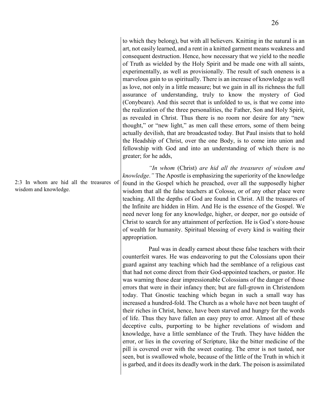to which they belong), but with all believers. Knitting in the natural is an art, not easily learned, and a rent in a knitted garment means weakness and consequent destruction. Hence, how necessary that we yield to the needle of Truth as wielded by the Holy Spirit and be made one with all saints, experimentally, as well as provisionally. The result of such oneness is a marvelous gain to us spiritually. There is an increase of knowledge as well as love, not only in a little measure; but we gain in all its richness the full assurance of understanding, truly to know the mystery of God (Conybeare). And this secret that is unfolded to us, is that we come into the realization of the three personalities, the Father, Son and Holy Spirit, as revealed in Christ. Thus there is no room nor desire for any "new thought," or "new light," as men call these errors, some of them being actually devilish, that are broadcasted today. But Paul insists that to hold the Headship of Christ, over the one Body, is to come into union and

*"In whom* (Christ) *are hid all the treasures of wisdom and knowledge*.*"* The Apostle is emphasizing the superiority of the knowledge found in the Gospel which he preached, over all the supposedly higher wisdom that all the false teachers at Colosse, or of any other place were teaching. All the depths of God are found in Christ. All the treasures of the Infinite are hidden in Him. And He is the essence of the Gospel. We need never long for any knowledge, higher, or deeper, nor go outside of Christ to search for any attainment of perfection. He is God's store-house of wealth for humanity. Spiritual blessing of every kind is waiting their appropriation.

fellowship with God and into an understanding of which there is no

greater; for he adds,

Paul was in deadly earnest about these false teachers with their counterfeit wares. He was endeavoring to put the Colossians upon their guard against any teaching which had the semblance of a religious cast that had not come direct from their God-appointed teachers, or pastor. He was warning those dear impressionable Colossians of the danger of those errors that were in their infancy then; but are full-grown in Christendom today. That Gnostic teaching which began in such a small way has increased a hundred-fold. The Church as a whole have not been taught of their riches in Christ, hence, have been starved and hungry for the words of life. Thus they have fallen an easy prey to error. Almost all of these deceptive cults, purporting to be higher revelations of wisdom and knowledge, have a little semblance of the Truth. They have hidden the error, or lies in the covering of Scripture, like the bitter medicine of the pill is covered over with the sweet coating. The error is not tasted, nor seen, but is swallowed whole, because of the little of the Truth in which it is garbed, and it does its deadly work in the dark. The poison is assimilated

2:3 In whom are hid all the treasures of wisdom and knowledge.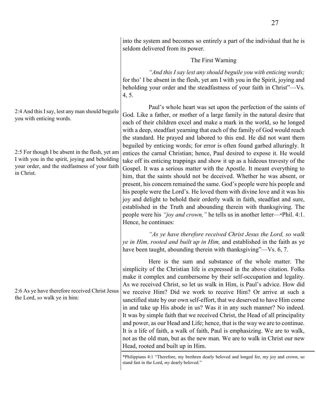into the system and becomes so entirely a part of the individual that he is seldom delivered from its power.

### The First Warning

*"And this I say lest any should beguile you with enticing words;*  for tho' I be absent in the flesh, yet am I with you in the Spirit, joying and beholding your order and the steadfastness of your faith in Christ"—Vs. 4, 5.

Paul's whole heart was set upon the perfection of the saints of God. Like a father, or mother of a large family in the natural desire that each of their children excel and make a mark in the world, so he longed with a deep, steadfast yearning that each of the family of God would reach the standard. He prayed and labored to this end. He did not want them beguiled by enticing words; for error is often found garbed alluringly. It entices the carnal Christian; hence, Paul desired to expose it. He would take off its enticing trappings and show it up as a hideous travesty of the Gospel. It was a serious matter with the Apostle. It meant everything to him, that the saints should not be deceived. Whether he was absent, or present, his concern remained the same. God's people were his people and his people were the Lord's. He loved them with divine love and it was his joy and delight to behold their orderly walk in faith, steadfast and sure, established in the Truth and abounding therein with thanksgiving. The people were his *"joy and crown,"* he tells us in another letter—\*Phil. 4:1. Hence, he continues:

*"As ye have therefore received Christ Jesus the Lord, so walk ye in Him, rooted and built up in Him,* and established in the faith as ye have been taught, abounding therein with thanksgiving"—Vs. 6, 7.

Here is the sum and substance of the whole matter. The simplicity of the Christian life is expressed in the above citation. Folks make it complex and cumbersome by their self-occupation and legality. As we received Christ, so let us walk in Him, is Paul's advice. How did we receive Him? Did we work to receive Him? Or arrive at such a sanctified state by our own self-effort, that we deserved to have Him come in and take up His abode in us? Was it in any such manner? No indeed. It was by simple faith that we received Christ, the Head of all principality and power, as our Head and Life; hence, that is the way we are to continue. It is a life of faith, a walk of faith, Paul is emphasizing. We are to walk, not as the old man, but as the new man. We are to walk in Christ our new Head, rooted and built up in Him.

\*Philippians 4:1 "Therefore, my brethren dearly beloved and longed for, my joy and crown, so stand fast in the Lord, *my* dearly beloved."

2:4 And this I say, lest any man should beguile you with enticing words.

2:5 For though I be absent in the flesh, yet am I with you in the spirit, joying and beholding your order, and the stedfastness of your faith in Christ.

2:6 As ye have therefore received Christ Jesus the Lord, *so* walk ye in him: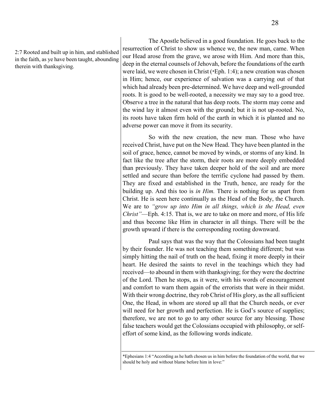2:7 Rooted and built up in him, and stablished in the faith, as ye have been taught, abounding therein with thanksgiving.

The Apostle believed in a good foundation. He goes back to the resurrection of Christ to show us whence we, the new man, came. When our Head arose from the grave, we arose with Him. And more than this, deep in the eternal counsels of Jehovah, before the foundations of the earth were laid, we were chosen in Christ (\*Eph. 1:4); a new creation was chosen in Him; hence, our experience of salvation was a carrying out of that which had already been pre-determined. We have deep and well-grounded roots. It is good to be well-rooted, a necessity we may say to a good tree. Observe a tree in the natural that has deep roots. The storm may come and the wind lay it almost even with the ground; but it is not up-rooted. No, its roots have taken firm hold of the earth in which it is planted and no adverse power can move it from its security.

So with the new creation, the new man. Those who have received Christ, have put on the New Head. They have been planted in the soil of grace, hence, cannot be moved by winds, or storms of any kind. In fact like the tree after the storm, their roots are more deeply embedded than previously. They have taken deeper hold of the soil and are more settled and secure than before the terrific cyclone had passed by them. They are fixed and established in the Truth, hence, are ready for the building up. And this too is *in Him.* There is nothing for us apart from Christ. He is seen here continually as the Head of the Body, the Church. We are to *"grow up into Him in all things, which is the Head, even Christ"*—Eph. 4:15. That is, we are to take on more and more, of His life and thus become like Him in character in all things. There will be the growth upward if there is the corresponding rooting downward.

Paul says that was the way that the Colossians had been taught by their founder. He was not teaching them something different; but was simply hitting the nail of truth on the head, fixing it more deeply in their heart. He desired the saints to revel in the teachings which they had received—to abound in them with thanksgiving; for they were the doctrine of the Lord. Then he stops, as it were, with his words of encouragement and comfort to warn them again of the errorists that were in their midst. With their wrong doctrine, they rob Christ of His glory, as the all sufficient One, the Head, in whom are stored up all that the Church needs, or ever will need for her growth and perfection. He is God's source of supplies; therefore, we are not to go to any other source for any blessing. Those false teachers would get the Colossians occupied with philosophy, or selfeffort of some kind, as the following words indicate.

<sup>\*</sup>Ephesians 1:4 "According as he hath chosen us in him before the foundation of the world, that we should be holy and without blame before him in love:"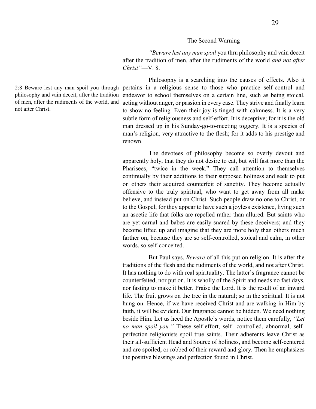#### The Second Warning

*"Beware lest any man spoil* you thru philosophy and vain deceit after the tradition of men, after the rudiments of the world *and not after Christ"*—V. 8.

Philosophy is a searching into the causes of effects. Also it pertains in a religious sense to those who practice self-control and endeavor to school themselves on a certain line, such as being stoical, acting without anger, or passion in every case. They strive and finally learn to show no feeling. Even their joy is tinged with calmness. It is a very subtle form of religiousness and self-effort. It is deceptive; for it is the old man dressed up in his Sunday-go-to-meeting toggery. It is a species of man's religion, very attractive to the flesh; for it adds to his prestige and renown.

The devotees of philosophy become so overly devout and apparently holy, that they do not desire to eat, but will fast more than the Pharisees, "twice in the week." They call attention to themselves continually by their additions to their supposed holiness and seek to put on others their acquired counterfeit of sanctity. They become actually offensive to the truly spiritual, who want to get away from all make believe, and instead put on Christ. Such people draw no one to Christ, or to the Gospel; for they appear to have such a joyless existence, living such an ascetic life that folks are repelled rather than allured. But saints who are yet carnal and babes are easily snared by these deceivers; and they become lifted up and imagine that they are more holy than others much farther on, because they are so self-controlled, stoical and calm, in other words, so self-conceited.

But Paul says, *Beware* of all this put on religion. It is after the traditions of the flesh and the rudiments of the world, and not after Christ. It has nothing to do with real spirituality. The latter's fragrance cannot be counterfeited, nor put on. It is wholly of the Spirit and needs no fast days, nor fasting to make it better. Praise the Lord. It is the result of an inward life. The fruit grows on the tree in the natural; so in the spiritual. It is not hung on. Hence, if we have received Christ and are walking in Him by faith, it will be evident. Our fragrance cannot be hidden. We need nothing beside Him. Let us heed the Apostle's words, notice them carefully, *"Let no man spoil you."* These self-effort, self- controlled, abnormal, selfperfection religionists spoil true saints. Their adherents leave Christ as their all-sufficient Head and Source of holiness, and become self-centered and are spoiled, or robbed of their reward and glory. Then he emphasizes the positive blessings and perfection found in Christ.

2:8 Beware lest any man spoil you through philosophy and vain deceit, after the tradition of men, after the rudiments of the world, and not after Christ.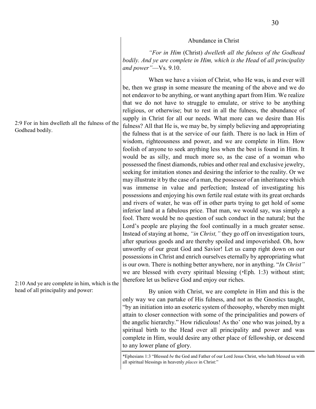#### Abundance in Christ

*"For in Him* (Christ) *dwelleth all the fulness of the Godhead bodily. And ye are complete in Him, which is the Head* of *all principality and power"*—Vs. 9.10.

When we have a vision of Christ, who He was, is and ever will be, then we grasp in some measure the meaning of the above and we do not endeavor to be anything, or want anything apart from Him. We realize that we do not have to struggle to emulate, or strive to be anything religious, or otherwise; but to rest in all the fulness, the abundance of supply in Christ for all our needs. What more can we desire than His fulness? All that He is, we may be, by simply believing and appropriating the fulness that is at the service of our faith. There is no lack in Him of wisdom, righteousness and power, and we are complete in Him. How foolish of anyone to seek anything less when the best is found in Him. It would be as silly, and much more so, as the case of a woman who possessed the finest diamonds, rubies and other real and exclusive jewelry, seeking for imitation stones and desiring the inferior to the reality. Or we may illustrate it by the case of a man, the possessor of an inheritance which was immense in value and perfection; Instead of investigating his possessions and enjoying his own fertile real estate with its great orchards and rivers of water, he was off in other parts trying to get hold of some inferior land at a fabulous price. That man, we would say, was simply a fool. There would be no question of such conduct in the natural; but the Lord's people are playing the fool continually in a much greater sense. Instead of staying at home, *"in Christ,"* they go off on investigation tours, after spurious goods and are thereby spoiled and impoverished. Oh, how unworthy of our great God and Savior! Let us camp right down on our possessions in Christ and enrich ourselves eternally by appropriating what is our own. There is nothing better anywhere, nor in anything. "*In Christ"* we are blessed with every spiritual blessing (\*Eph. 1:3) without stint; therefore let us believe God and enjoy our riches.

By union with Christ, we are complete in Him and this is the only way we can partake of His fulness, and not as the Gnostics taught, "by an initiation into an esoteric system of theosophy, whereby men might attain to closer connection with some of the principalities and powers of the angelic hierarchy." How ridiculous! As tho' one who was joined, by a spiritual birth to the Head over all principality and power and was complete in Him, would desire any other place of fellowship, or descend to any lower plane of glory.

\*Ephesians 1:3 "Blessed *be* the God and Father of our Lord Jesus Christ, who hath blessed us with all spiritual blessings in heavenly *places* in Christ:"

2:9 For in him dwelleth all the fulness of the Godhead bodily.

2:10 And ye are complete in him, which is the head of all principality and power: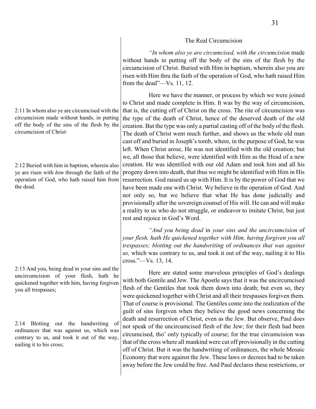### The Real Circumcision

*"In whom also ye are circumcised, with the circumcision* made without hands in putting off the body of the sins of the flesh by the circumcision of Christ. Buried with Him in baptism, wherein also you are risen with Him thru the faith of the operation of God, who hath raised Him from the dead"—Vs. 11, 12.

Here we have the manner, or process by which we were joined to Christ and made complete in Him. It was by the way of circumcision, that is, the cutting off of Christ on the cross. The rite of circumcision was the type of the death of Christ, hence of the deserved death of the old creation. But the type was only a partial casting off of the body of the flesh. The death of Christ went much further, and shows us the whole old man cast off and buried in Joseph's tomb, where, in the purpose of God, he was left. When Christ arose, He was not identified with the old creation; but we, all those that believe, were identified with Him as the Head of a new creation. He was identified with our old Adam and took him and all his progeny down into death, that thus we might be identified with Him in His resurrection. God raised us up with Him. It is by the power of God that we have been made one with Christ. We believe in the operation of God. And not only so, but we believe that what He has done judicially and provisionally after the sovereign counsel of His will. He can and will make a reality to us who do not struggle, or endeavor to imitate Christ, but just rest and rejoice in God's Word.

*"And you being dead* in *your sins and the uncircumcision* of *your flesh, hath He quickened together with Him, having forgiven you all trespasses; blotting out the handwriting* of *ordinances that was against us,* which was contrary to us, and took it out of the way, nailing it to His cross."—Vs. 13, 14.

Here are stated some marvelous principles of God's dealings with both Gentile and Jew. The Apostle says that it was the uncircumcised flesh of the Gentiles that took them down into death; but even so, they were quickened together with Christ and all their trespasses forgiven them. That of course is provisional. The Gentiles come into the realization of the guilt of sins forgiven when they believe the good news concerning the death and resurrection of Christ, even as the Jew. But observe, Paul does not speak of the uncircumcised flesh of the Jew; for their flesh had been circumcised, tho' only typically of course; for the true circumcision was that of the cross where all mankind were cut off provisionally in the cutting off of Christ. But it was the handwriting of ordinances, the whole Mosaic Economy that were against the Jew. These laws or decrees had to be taken away before the Jew could be free. And Paul declares these restrictions, or

2:11 In whom also ye are circumcised with the circumcision made without hands, in putting off the body of the sins of the flesh by the circumcision of Christ:

2:12 Buried with him in baptism, wherein also ye are risen with *him* through the faith of the operation of God, who hath raised him from the dead.

2:13 And you, being dead in your sins and the uncircumcision of your flesh, hath he quickened together with him, having forgiven you all trespasses;

2:14 Blotting out the handwriting of ordinances that was against us, which was contrary to us, and took it out of the way, nailing it to his cross;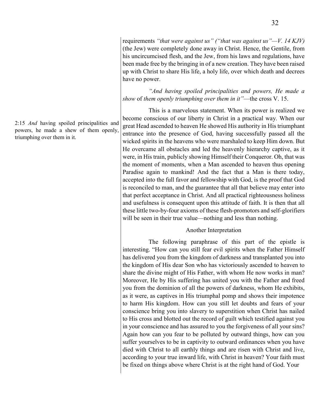requirements *"that were against us" ("that was against us"—V. 14 KJV)* (the Jew) were completely done away in Christ. Hence, the Gentile, from his uncircumcised flesh, and the Jew, from his laws and regulations, have been made free by the bringing in of a new creation. They have been raised up with Christ to share His life, a holy life, over which death and decrees have no power.

*"And having spoiled principalities and powers, He made a show* of *them openly triumphing over them in it"*—the cross V. 15.

This is a marvelous statement. When its power is realized we become conscious of our liberty in Christ in a practical way. When our great Head ascended to heaven He showed His authority in His triumphant entrance into the presence of God, having successfully passed all the wicked spirits in the heavens who were marshaled to keep Him down. But He overcame all obstacles and led the heavenly hierarchy captive, as it were, in His train, publicly showing Himself their Conqueror. Oh, that was the moment of moments, when a Man ascended to heaven thus opening Paradise again to mankind! And the fact that a Man is there today, accepted into the full favor and fellowship with God, is the proof that God is reconciled to man, and the guarantee that all that believe may enter into that perfect acceptance in Christ. And all practical righteousness holiness and usefulness is consequent upon this attitude of faith. It is then that all these little two-by-four axioms of these flesh-promotors and self-glorifiers will be seen in their true value—nothing and less than nothing.

### Another Interpretation

The following paraphrase of this part of the epistle is interesting. "How can you still fear evil spirits when the Father Himself has delivered you from the kingdom of darkness and transplanted you into the kingdom of His dear Son who has victoriously ascended to heaven to share the divine might of His Father, with whom He now works in man? Moreover, He by His suffering has united you with the Father and freed you from the dominion of all the powers of darkness, whom He exhibits, as it were, as captives in His triumphal pomp and shows their impotence to harm His kingdom. How can you still let doubts and fears of your conscience bring you into slavery to superstition when Christ has nailed to His cross and blotted out the record of guilt which testified against you in your conscience and has assured to you the forgiveness of all your sins? Again how can you fear to be polluted by outward things, how can you suffer yourselves to be in captivity to outward ordinances when you have died with Christ to all earthly things and are risen with Christ and live, according to your true inward life, with Christ in heaven? Your faith must be fixed on things above where Christ is at the right hand of God. Your

2:15 *And* having spoiled principalities and powers, he made a shew of them openly, triumphing over them in it.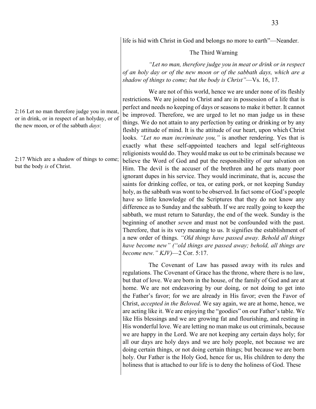life is hid with Christ in God and belongs no more to earth"—Neander.

#### The Third Warning

*"Let no man, therefore judge you in meat or drink or in respect of an holy day or of the new moon or of the sabbath days, which are a shadow of things to come; but the body is Christ"*—Vs. 16, 17.

We are not of this world, hence we are under none of its fleshly restrictions. We are joined to Christ and are in possession of a life that is perfect and needs no keeping of days or seasons to make it better. It cannot be improved. Therefore, we are urged to let no man judge us in these things. We do not attain to any perfection by eating or drinking or by any fleshly attitude of mind. It is the attitude of our heart, upon which Christ looks. *"Let no man incriminate you,"* is another rendering. Yes that is exactly what these self-appointed teachers and legal self-righteous religionists would do. They would make us out to be criminals because we believe the Word of God and put the responsibility of our salvation on Him. The devil is the accuser of the brethren and he gets many poor ignorant dupes in his service. They would incriminate, that is, accuse the saints for drinking coffee, or tea, or eating pork, or not keeping Sunday holy, as the sabbath was wont to be observed. In fact some of God's people have so little knowledge of the Scriptures that they do not know any difference as to Sunday and the sabbath. If we are really going to keep the sabbath, we must return to Saturday, the end of the week. Sunday is the beginning of another *seven* and must not be confounded with the past. Therefore, that is its very meaning to us. It signifies the establishment of a new order of things. *"Old things have passed away. Behold all things have become new" ("old things are passed away; behold, all things are become new." KJV)*—2 Cor. 5:17.

The Covenant of Law has passed away with its rules and regulations. The Covenant of Grace has the throne, where there is no law, but that of love. We are born in the house, of the family of God and are at home. We are not endeavoring by our doing, or not doing to get into the Father's favor; for we are already in His favor; even the Favor of Christ, *accepted in the Beloved.* We say again, we are at home, hence, we are acting like it. We are enjoying the "goodies" on our Father's table. We like His blessings and we are growing fat and flourishing, and resting in His wonderful love. We are letting no man make us out criminals, because we are happy in the Lord. We are not keeping any certain days holy; for all our days are holy days and we are holy people, not because we are doing certain things, or not doing certain things; but because we are born holy. Our Father is the Holy God, hence for us, His children to deny the holiness that is attached to our life is to deny the holiness of God. These

2:16 Let no man therefore judge you in meat, or in drink, or in respect of an holyday, or of the new moon, or of the sabbath *days*:

2:17 Which are a shadow of things to come; but the body *is* of Christ.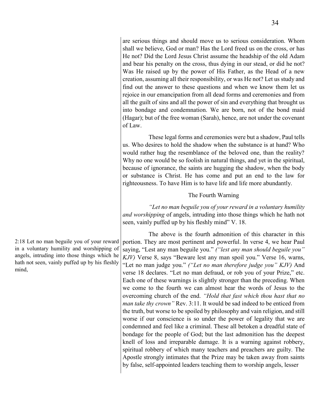are serious things and should move us to serious consideration. Whom shall we believe, God or man? Has the Lord freed us on the cross, or has He not? Did the Lord Jesus Christ assume the headship of the old Adam and bear his penalty on the cross, thus dying in our stead, or did he not? Was He raised up by the power of His Father, as the Head of a new creation, assuming all their responsibility, or was He not? Let us study and find out the answer to these questions and when we know them let us rejoice in our emancipation from all dead forms and ceremonies and from all the guilt of sins and all the power of sin and everything that brought us into bondage and condemnation. We are born, not of the bond maid (Hagar); but of the free woman (Sarah), hence, are not under the covenant of Law.

These legal forms and ceremonies were but a shadow, Paul tells us. Who desires to hold the shadow when the substance is at hand? Who would rather hug the resemblance of the beloved one, than the reality? Why no one would be so foolish in natural things, and yet in the spiritual, because of ignorance, the saints are hugging the shadow, when the body or substance is Christ. He has come and put an end to the law for righteousness. To have Him is to have life and life more abundantly.

# The Fourth Warning

*"Let no man beguile you of your reward in a voluntary humility and worshipping* of angels, intruding into those things which he hath not seen, vainly puffed up by his fleshly mind" V. 18.

The above is the fourth admonition of this character in this portion. They are most pertinent and powerful. In verse 4, we hear Paul saying, "Lest any man beguile you." *("lest any man should beguile you" KJV)* Verse 8, says "Beware lest any man spoil you." Verse 16, warns, "Let no man judge you." *("Let no man therefore judge you" KJV)* And verse 18 declares. "Let no man defraud, or rob you of your Prize," etc. Each one of these warnings is slightly stronger than the preceding. When we come to the fourth we can almost hear the words of Jesus to the overcoming church of the end. *"Hold that fast which thou hast that no man take thy crown"* Rev. 3:11. It would be sad indeed to be enticed from the truth, but worse to be spoiled by philosophy and vain religion, and still worse if our conscience is so under the power of legality that we are condemned and feel like a criminal. These all betoken a dreadful state of bondage for the people of God; but the last admonition has the deepest knell of loss and irreparable damage. It is a warning against robbery, spiritual robbery of which many teachers and preachers are guilty. The Apostle strongly intimates that the Prize may be taken away from saints by false, self-appointed leaders teaching them to worship angels, lesser

2:18 Let no man beguile you of your reward in a voluntary humility and worshipping of angels, intruding into those things which he hath not seen, vainly puffed up by his fleshly mind,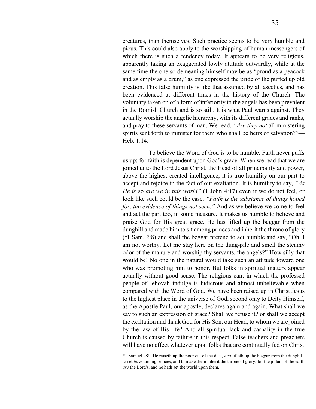creatures, than themselves. Such practice seems to be very humble and pious. This could also apply to the worshipping of human messengers of which there is such a tendency today. It appears to be very religious, apparently taking an exaggerated lowly attitude outwardly, while at the same time the one so demeaning himself may be as "proud as a peacock and as empty as a drum," as one expressed the pride of the puffed up old creation. This false humility is like that assumed by all ascetics, and has been evidenced at different times in the history of the Church. The voluntary taken on of a form of inferiority to the angels has been prevalent in the Romish Church and is so still. It is what Paul warns against. They actually worship the angelic hierarchy, with its different grades and ranks, and pray to these servants of man. We read, *"Are they not* all ministering spirits sent forth to minister for them who shall be heirs of salvation?"— Heb. 1:14.

To believe the Word of God is to be humble. Faith never puffs us up; for faith is dependent upon God's grace. When we read that we are joined unto the Lord Jesus Christ, the Head of all principality and power, above the highest created intelligence, it is true humility on our part to accept and rejoice in the fact of our exaltation. It is humility to say, *"As He is* so *are we in this world"* (1 John 4:17) even if we do not feel, or look like such could be the case. *"Faith is the substance of things hoped for, the evidence of things not seen."* And as we believe we come to feel and act the part too, in some measure. It makes us humble to believe and praise God for His great grace. He has lifted up the beggar from the dunghill and made him to sit among princes and inherit the throne of glory (\*1 Sam. 2:8) and shall the beggar pretend to act humble and say, "Oh, I am not worthy. Let me stay here on the dung-pile and smell the steamy odor of the manure and worship thy servants, the angels?" How silly that would be! No one in the natural would take such an attitude toward one who was promoting him to honor. But folks in spiritual matters appear actually without good sense. The religious cant in which the professed people of Jehovah indulge is ludicrous and almost unbelievable when compared with the Word of God. We have been raised up in Christ Jesus to the highest place in the universe of God, second only to Deity Himself, as the Apostle Paul, our apostle, declares again and again. What shall we say to such an expression of grace? Shall we refuse it? or shall we accept the exaltation and thank God for His Son, our Head, to whom we are joined by the law of His life? And all spiritual lack and carnality in the true Church is caused by failure in this respect. False teachers and preachers will have no effect whatever upon folks that are continually fed on Christ

<sup>\*1</sup> Samuel 2:8 "He raiseth up the poor out of the dust, *and* lifteth up the beggar from the dunghill, to set *them* among princes, and to make them inherit the throne of glory: for the pillars of the earth *are* the Lord's, and he hath set the world upon them."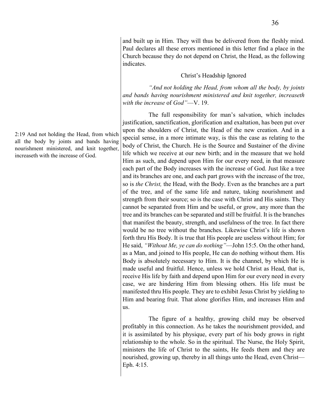and built up in Him. They will thus be delivered from the fleshly mind. Paul declares all these errors mentioned in this letter find a place in the Church because they do not depend on Christ, the Head, as the following indicates.

#### Christ's Headship Ignored

*"And not holding the Head, from whom all the body, by joints and bands having nourishment ministered and knit together, increaseth with the increase* of *God"*—V. 19.

The full responsibility for man's salvation, which includes justification, sanctification, glorification and exaltation, has been put over upon the shoulders of Christ, the Head of the new creation. And in a special sense, in a more intimate way, is this the case as relating to the body of Christ, the Church. He is the Source and Sustainer of the divine life which we receive at our new birth; and in the measure that we hold Him as such, and depend upon Him for our every need, in that measure each part of the Body increases with the increase of God. Just like a tree and its branches are one, and each part grows with the increase of the tree, so is *the Christ,* the Head, with the Body. Even as the branches are a part of the tree, and of the same life and nature, taking nourishment and strength from their source; so is the case with Christ and His saints. They cannot be separated from Him and be useful, or grow, any more than the tree and its branches can be separated and still be fruitful. It is the branches that manifest the beauty, strength, and usefulness of the tree. In fact there would be no tree without the branches. Likewise Christ's life is shown forth thru His Body. It is true that His people are useless without Him; for He said, *"Without Me, ye can do nothing"*—John 15:5. On the other hand, as a Man, and joined to His people, He can do nothing without them. His Body is absolutely necessary to Him. It is the channel, by which He is made useful and fruitful. Hence, unless we hold Christ as Head, that is, receive His life by faith and depend upon Him for our every need in every case, we are hindering Him from blessing others. His life must be manifested thru His people. They are to exhibit Jesus Christ by yielding to Him and bearing fruit. That alone glorifies Him, and increases Him and us.

The figure of a healthy, growing child may be observed profitably in this connection. As he takes the nourishment provided, and it is assimilated by his physique, every part of his body grows in right relationship to the whole. So in the spiritual. The Nurse, the Holy Spirit, ministers the life of Christ to the saints, He feeds them and they are nourished, growing up, thereby in all things unto the Head, even Christ— Eph. 4:15.

2:19 And not holding the Head, from which all the body by joints and bands having nourishment ministered, and knit together, increaseth with the increase of God.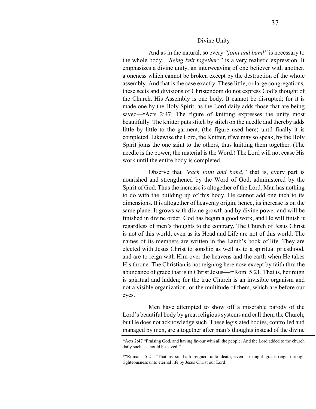#### Divine Unity

And as in the natural, so every *"joint and band"* is necessary to the whole body. *"Being knit together;"* is a very realistic expression. It emphasizes a divine unity, an interweaving of one believer with another, a oneness which cannot be broken except by the destruction of the whole assembly. And that is the case exactly. These little, or large congregations, these sects and divisions of Christendom do not express God's thought of the Church. His Assembly is one body. It cannot be disrupted; for it is made one by the Holy Spirit, as the Lord daily adds those that are being saved—\*Acts 2:47. The figure of knitting expresses the unity most beautifully. The knitter puts stitch by stitch on the needle and thereby adds little by little to the garment, (the figure used here) until finally it is completed. Likewise the Lord, the Knitter, if we may so speak, by the Holy Spirit joins the one saint to the others, thus knitting them together. (The needle is the power; the material is the Word.) The Lord will not cease His work until the entire body is completed.

Observe that *"each joint and band,"* that is, every part is nourished and strengthened by the Word of God, administered by the Spirit of God. Thus the increase is altogether of the Lord. Man has nothing to do with the building up of this body. He cannot add one inch to its dimensions. It is altogether of heavenly origin; hence, its increase is on the same plane. It grows with divine growth and by divine power and will be finished in divine order. God has begun a good work, and He will finish it regardless of men's thoughts to the contrary, The Church of Jesus Christ is not of this world, even as its Head and Life are not of this world. The names of its members are written in the Lamb's book of life. They are elected with Jesus Christ to sonship as well as to a spiritual priesthood, and are to reign with Him over the heavens and the earth when He takes His throne. The Christian is not reigning here now except by faith thru the abundance of grace that is in Christ Jesus—\*\*Rom. 5:21. That is, her reign is spiritual and hidden; for the true Church is an invisible organism and not a visible organization, or the multitude of them, which are before our eyes.

Men have attempted to show off a miserable parody of the Lord's beautiful body by great religious systems and call them the Church; but He does not acknowledge such. These legislated bodies, controlled and managed by men, are altogether after man's thoughts instead of the divine

<sup>\*</sup>Acts 2:47 "Praising God, and having favour with all the people. And the Lord added to the church daily such as should be saved."

<sup>\*\*</sup>Romans 5:21 "That as sin hath reigned unto death, even so might grace reign through righteousness unto eternal life by Jesus Christ our Lord."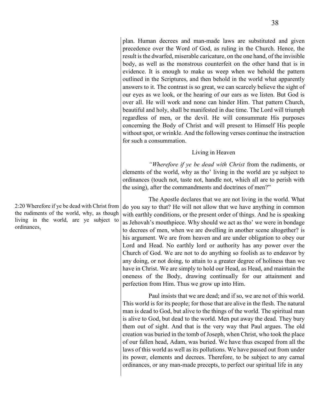plan. Human decrees and man-made laws are substituted and given precedence over the Word of God, as ruling in the Church. Hence, the result is the dwarfed, miserable caricature, on the one hand, of the invisible body, as well as the monstrous counterfeit on the other hand that is in evidence. It is enough to make us weep when we behold the pattern outlined in the Scriptures, and then behold in the world what apparently answers to it. The contrast is so great, we can scarcely believe the sight of our eyes as we look, or the hearing of our ears as we listen. But God is over all. He will work and none can hinder Him. That pattern Church, beautiful and holy, shall be manifested in due time. The Lord will triumph regardless of men, or the devil. He will consummate His purposes concerning the Body of Christ and will present to Himself His people without spot, or wrinkle. And the following verses continue the instruction for such a consummation.

#### Living in Heaven

*"Wherefore if ye be dead with Christ* from the rudiments, or elements of the world, why as tho' living in the world are ye subject to ordinances (touch not, taste not, handle not, which all are to perish with the using), after the commandments and doctrines of men?"

The Apostle declares that we are not living in the world. What do you say to that? He will not allow that we have anything in common with earthly conditions, or the present order of things. And he is speaking as Jehovah's mouthpiece. Why should we act as tho' we were in bondage to decrees of men, when we are dwelling in another scene altogether? is his argument. We are from heaven and are under obligation to obey our Lord and Head. No earthly lord or authority has any power over the Church of God. We are not to do anything so foolish as to endeavor by any doing, or not doing, to attain to a greater degree of holiness than we have in Christ. We are simply to hold our Head, as Head, and maintain the oneness of the Body, drawing continually for our attainment and perfection from Him. Thus we grow up into Him.

Paul insists that we are dead; and if so, we are not of this world. This world is for its people; for those that are alive in the flesh. The natural man is dead to God, but alive to the things of the world. The spiritual man is alive to God, but dead to the world. Men put away the dead. They bury them out of sight. And that is the very way that Paul argues. The old creation was buried in the tomb of Joseph, when Christ, who took the place of our fallen head, Adam, was buried. We have thus escaped from all the laws of this world as well as its pollutions. We have passed out from under its power, elements and decrees. Therefore, to be subject to any carnal ordinances, or any man-made precepts, to perfect our spiritual life in any

2:20 Wherefore if ye be dead with Christ from the rudiments of the world, why, as though living in the world, are ye subject to ordinances,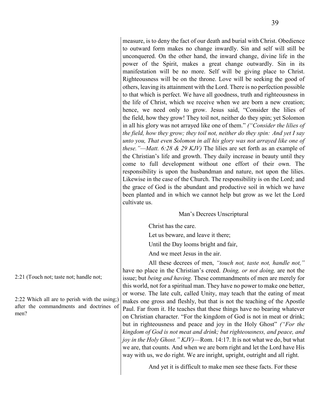measure, is to deny the fact of our death and burial with Christ. Obedience to outward form makes no change inwardly. Sin and self will still be unconquered. On the other hand, the inward change, divine life in the power of the Spirit, makes a great change outwardly. Sin in its manifestation will be no more. Self will be giving place to Christ. Righteousness will be on the throne. Love will be seeking the good of others, leaving its attainment with the Lord. There is no perfection possible to that which is perfect. We have all goodness, truth and righteousness in the life of Christ, which we receive when we are born a new creation; hence, we need only to grow. Jesus said, "Consider the lilies of the field, how they grow! They toil not, neither do they spin; yet Solomon in all his glory was not arrayed like one of them." *("Consider the lilies of the field, how they grow; they toil not, neither do they spin: And yet I say unto you, That even Solomon in all his glory was not arrayed like one of these."—Matt. 6:28 & 29 KJV)* The lilies are set forth as an example of the Christian's life and growth. They daily increase in beauty until they come to full development without one effort of their own. The responsibility is upon the husbandman and nature, not upon the lilies. Likewise in the case of the Church. The responsibility is on the Lord; and the grace of God is the abundant and productive soil in which we have been planted and in which we cannot help but grow as we let the Lord cultivate us.

#### Man's Decrees Unscriptural

Christ has the care.

Let us beware, and leave it there;

Until the Day looms bright and fair,

And we meet Jesus in the air.

All these decrees of men, *"touch not, taste not, handle not,"* have no place in the Christian's creed. *Doing, or not doing,* are not the issue; but *being and having.* These commandments of men are merely for this world, not for a spiritual man. They have no power to make one better, or worse. The late cult, called Unity, may teach that the eating of meat makes one gross and fleshly, but that is not the teaching of the Apostle Paul. Far from it. He teaches that these things have no bearing whatever on Christian character. "For the kingdom of God is not in meat or drink; but in righteousness and peace and joy in the Holy Ghost" *("For the kingdom of God is not meat and drink; but righteousness, and peace, and joy in the Holy Ghost." KJV)*—Rom. 14:17. It is not what we do, but what we are, that counts. And when we are born right and let the Lord have His way with us, we do right. We are inright, upright, outright and all right.

And yet it is difficult to make men see these facts. For these

2:21 (Touch not; taste not; handle not;

2:22 Which all are to perish with the using;) after the commandments and doctrines of men?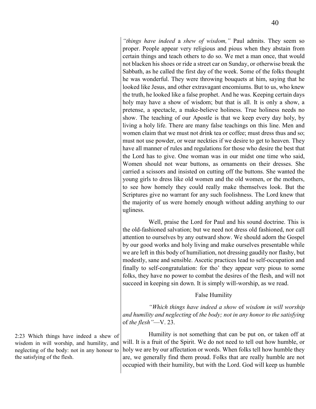*"things have indeed* a *shew of wisdom,"* Paul admits. They seem so proper. People appear very religious and pious when they abstain from certain things and teach others to do so. We met a man once, that would not blacken his shoes or ride a street car on Sunday, or otherwise break the Sabbath, as he called the first day of the week. Some of the folks thought he was wonderful. They were throwing bouquets at him, saying that he looked like Jesus, and other extravagant encomiums. But to us, who knew the truth, he looked like a false prophet. And he was. Keeping certain days holy may have a show of wisdom; but that is all. It is only a show, a pretense, a spectacle, a make-believe holiness. True holiness needs no show. The teaching of our Apostle is that we keep every day holy, by living a holy life. There are many false teachings on this line. Men and women claim that we must not drink tea or coffee; must dress thus and so; must not use powder, or wear neckties if we desire to get to heaven. They have all manner of rules and regulations for those who desire the best that the Lord has to give. One woman was in our midst one time who said, Women should not wear buttons, as ornaments on their dresses. She carried a scissors and insisted on cutting off the buttons. She wanted the young girls to dress like old women and the old women, or the mothers, to see how homely they could really make themselves look. But the Scriptures give no warrant for any such foolishness. The Lord knew that the majority of us were homely enough without adding anything to our ugliness.

Well, praise the Lord for Paul and his sound doctrine. This is the old-fashioned salvation; but we need not dress old fashioned, nor call attention to ourselves by any outward show. We should adorn the Gospel by our good works and holy living and make ourselves presentable while we are left in this body of humiliation, not dressing gaudily nor flashy, but modestly, sane and sensible. Ascetic practices lead to self-occupation and finally to self-congratulation: for tho' they appear very pious to some folks, they have no power to combat the desires of the flesh, and will not succeed in keeping sin down. It is simply will-worship, as we read.

#### False Humility

*"Which things have indeed a show* of *wisdom in will worship and humility and neglecting* of *the body; not in any honor to the satisfying*  of *the flesh"*—V. 23.

Humility is not something that can be put on, or taken off at will. It is a fruit of the Spirit. We do not need to tell out how humble, or holy we are by our affectation or words. When folks tell how humble they are, we generally find them proud. Folks that are really humble are not occupied with their humility, but with the Lord. God will keep us humble

2:23 Which things have indeed a shew of wisdom in will worship, and humility, and neglecting of the body: not in any honour to the satisfying of the flesh.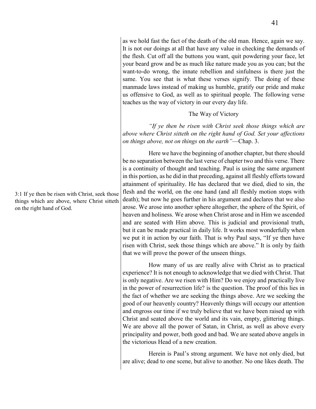as we hold fast the fact of the death of the old man. Hence, again we say. It is not our doings at all that have any value in checking the demands of the flesh. Cut off all the buttons you want, quit powdering your face, let your beard grow and be as much like nature made you as you can; but the want-to-do wrong, the innate rebellion and sinfulness is there just the same. You see that is what these verses signify. The doing of these manmade laws instead of making us humble, gratify our pride and make us offensive to God, as well as to spiritual people. The following verse teaches us the way of victory in our every day life.

#### The Way of Victory

*"If ye then be risen with Christ seek those things which are above where Christ sitteth on the right hand of God. Set your affections on things above, not on things* on *the earth"*—Chap. 3.

Here we have the beginning of another chapter, but there should be no separation between the last verse of chapter two and this verse. There is a continuity of thought and teaching. Paul is using the same argument in this portion, as he did in that preceding, against all fleshly efforts toward attainment of spirituality. He has declared that we died, died to sin, the flesh and the world, on the one hand (and all fleshly motion stops with death); but now he goes further in his argument and declares that we also arose. We arose into another sphere altogether, the sphere of the Spirit, of heaven and holiness. We arose when Christ arose and in Him we ascended and are seated with Him above. This is judicial and provisional truth, but it can be made practical in daily life. It works most wonderfully when we put it in action by our faith. That is why Paul says, "If ye then have risen with Christ, seek those things which are above." It is only by faith that we will prove the power of the unseen things.

How many of us are really alive with Christ as to practical experience? It is not enough to acknowledge that we died with Christ. That is only negative. Are we risen with Him? Do we enjoy and practically live in the power of resurrection life? is the question. The proof of this lies in the fact of whether we are seeking the things above. Are we seeking the good of our heavenly country? Heavenly things will occupy our attention and engross our time if we truly believe that we have been raised up with Christ and seated above the world and its vain, empty, glittering things. We are above all the power of Satan, in Christ, as well as above every principality and power, both good and bad. We are seated above angels in the victorious Head of a new creation.

Herein is Paul's strong argument. We have not only died, but are alive; dead to one scene, but alive to another. No one likes death. The

3:1 If ye then be risen with Christ, seek those things which are above, where Christ sitteth on the right hand of God.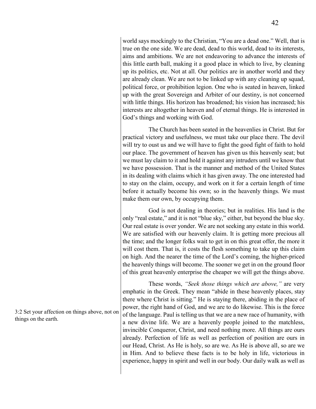world says mockingly to the Christian, "You are a dead one." Well, that is true on the one side. We are dead, dead to this world, dead to its interests, aims and ambitions. We are not endeavoring to advance the interests of this little earth ball, making it a good place in which to live, by cleaning up its politics, etc. Not at all. Our politics are in another world and they are already clean. We are not to be linked up with any cleaning up squad, political force, or prohibition legion. One who is seated in heaven, linked up with the great Sovereign and Arbiter of our destiny, is not concerned with little things. His horizon has broadened; his vision has increased; his interests are altogether in heaven and of eternal things. He is interested in

The Church has been seated in the heavenlies in Christ. But for practical victory and usefulness, we must take our place there. The devil will try to oust us and we will have to fight the good fight of faith to hold our place. The government of heaven has given us this heavenly seat; but we must lay claim to it and hold it against any intruders until we know that we have possession. That is the manner and method of the United States in its dealing with claims which it has given away. The one interested had to stay on the claim, occupy, and work on it for a certain length of time before it actually become his own; so in the heavenly things. We must make them our own, by occupying them.

God's things and working with God.

God is not dealing in theories; but in realities. His land is the only "real estate," and it is not "blue sky," either, but beyond the blue sky. Our real estate is over yonder. We are not seeking any estate in this world. We are satisfied with our heavenly claim. It is getting more precious all the time; and the longer folks wait to get in on this great offer, the more it will cost them. That is, it costs the flesh something to take up this claim on high. And the nearer the time of the Lord's coming, the higher-priced the heavenly things will become. The sooner we get in on the ground floor of this great heavenly enterprise the cheaper we will get the things above.

These words, *"Seek those things which are above,"* are very emphatic in the Greek. They mean "abide in these heavenly places, stay there where Christ is sitting." He is staying there, abiding in the place of power, the right hand of God, and we are to do likewise. This is the force of the language. Paul is telling us that we are a new race of humanity, with a new divine life. We are a heavenly people joined to the matchless, invincible Conqueror, Christ, and need nothing more. All things are ours already. Perfection of life as well as perfection of position are ours in our Head, Christ. As He is holy, so are we. As He is above all, so are we in Him. And to believe these facts is to be holy in life, victorious in experience, happy in spirit and well in our body. Our daily walk as well as

3:2 Set your affection on things above, not on things on the earth.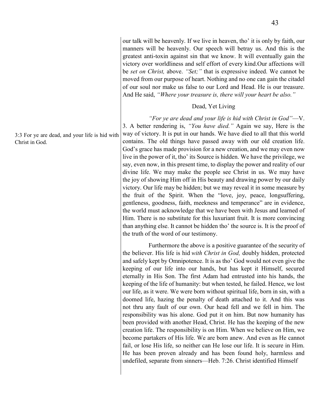our talk will be heavenly. If we live in heaven, tho' it is only by faith, our manners will be heavenly. Our speech will betray us. And this is the greatest anti-toxin against sin that we know. It will eventually gain the victory over worldliness and self effort of every kind.Our affections will be *set on Christ,* above. *"Set;"* that is expressive indeed. We cannot be moved from our purpose of heart. Nothing and no one can gain the citadel of our soul nor make us false to our Lord and Head. He is our treasure. And He said, *"Where your treasure is, there will your heart be also."*

#### Dead, Yet Living

*"For ye are dead and your life is hid with Christ in God"*—V. 3. A better rendering is, *"You have died."* Again we say, Here is the way of victory. It is put in our hands. We have died to all that this world contains. The old things have passed away with our old creation life. God's grace has made provision for a new creation, and we may even now live in the power of it, tho' its Source is hidden. We have the privilege, we say, even now, in this present time, to display the power and reality of our divine life. We may make the people see Christ in us. We may have the joy of showing Him off in His beauty and drawing power by our daily victory. Our life may be hidden; but we may reveal it in some measure by the fruit of the Spirit. When the "love, joy, peace, longsuffering, gentleness, goodness, faith, meekness and temperance" are in evidence, the world must acknowledge that we have been with Jesus and learned of Him. There is no substitute for this luxuriant fruit. It is more convincing than anything else. It cannot be hidden tho' the source is. It is the proof of the truth of the word of our testimony.

Furthermore the above is a positive guarantee of the security of the believer. His life is hid *with Christ in God,* doubly hidden, protected and safely kept by Omnipotence. It is as tho' God would not even give the keeping of our life into our hands, but has kept it Himself, secured eternally in His Son. The first Adam had entrusted into his hands, the keeping of the life of humanity: but when tested, he failed. Hence, we lost our life, as it were. We were born without spiritual life, born in sin, with a doomed life, hazing the penalty of death attached to it. And this was not thru any fault of our own. Our head fell and we fell in him. The responsibility was his alone. God put it on him. But now humanity has been provided with another Head, Christ. He has the keeping of the new creation life. The responsibility is on Him. When we believe on Him, we become partakers of His life. We are born anew. And even as He cannot fail, or lose His life, so neither can He lose our life. It is secure in Him. He has been proven already and has been found holy, harmless and undefiled, separate from sinners—Heb. 7:26. Christ identified Himself

3:3 For ye are dead, and your life is hid with Christ in God.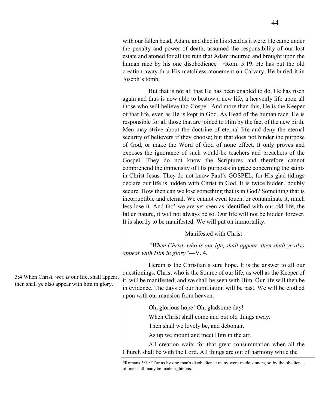with our fallen head, Adam, and died in his stead as it were. He came under the penalty and power of death, assumed the responsibility of our lost estate and atoned for all the ruin that Adam incurred and brought upon the human race by his one disobedience—\*Rom. 5:19. He has put the old creation away thru His matchless atonement on Calvary. He buried it in Joseph's tomb.

But that is not all that He has been enabled to do. He has risen again and thus is now able to bestow a new life, a heavenly life upon all those who will believe tho Gospel. And more than this, He is the Keeper of that life, even as He is kept in God. As Head of the human race, He is responsible for all those that are joined to Him by the fact of the new birth. Men may strive about the doctrine of eternal life and deny the eternal security of believers if they choose; but that does not hinder the purpose of God, or make the Word of God of none effect. It only proves and exposes the ignorance of such would-be teachers and preachers of the Gospel. They do not know the Scriptures and therefore cannot comprehend the immensity of His purposes in grace concerning the saints in Christ Jesus. They do not know Paul's GOSPEL; for His glad tidings declare our life is hidden with Christ in God. It is twice hidden, doubly secure. How then can we lose something that is in God? Something that is incorruptible and eternal. We cannot even touch, or contaminate it, much less lose it. And tho' we are yet seen as identified with our old life, the fallen nature, it will not always be so. Our life will not be hidden forever. It is shortly to be manifested. We will put on immortality.

#### Manifested with Christ

*"When Christ, who is our life, shall appear, then shall ye also appear with Him in glory"*—V. 4.

Herein is the Christian's sure hope. It is the answer to all our questionings. Christ who is the Source of our life, as well as the Keeper of it, will be manifested; and we shall be seen with Him. Our life will then be in evidence. The days of our humiliation will be past. We will be clothed upon with our mansion from heaven.

Oh, glorious hope! Oh, gladsome day!

When Christ shall come and put old things away.

Then shall we lovely be, and debonair.

As up we mount and meet Him in the air.

All creation waits for that great consummation when all the Church shall be with the Lord. All things are out of harmony while the

3:4 When Christ, *who is* our life, shall appear, then shall ye also appear with him in glory.

<sup>\*</sup>Romans 5:19 "For as by one man's disobedience many were made sinners, so by the obedience of one shall many be made righteous."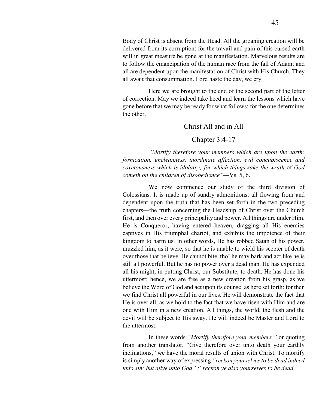Body of Christ is absent from the Head. All the groaning creation will be delivered from its corruption: for the travail and pain of this cursed earth will in great measure be gone at the manifestation. Marvelous results are to follow the emancipation of the human race from the fall of Adam; and all are dependent upon the manifestation of Christ with His Church. They all await that consummation. Lord haste the day, we cry.

Here we are brought to the end of the second part of the letter of correction. May we indeed take heed and learn the lessons which have gone before that we may be ready for what follows; for the one determines the other.

### Christ All and in All

### Chapter 3:4-17

*"Mortify therefore your members which are upon the earth; fornication, uncleanness, inordinate affection, evil concupiscence and covetousness which is idolatry; for which things sake the wrath* of *God cometh on the children of disobedience"*—Vs. 5, 6.

We now commence our study of the third division of Colossians. It is made up of sundry admonitions, all flowing from and dependent upon the truth that has been set forth in the two preceding chapters—the truth concerning the Headship of Christ over the Church first, and then over every principality and power. All things are under Him. He is Conqueror, having entered heaven, dragging all His enemies captives in His triumphal chariot, and exhibits the impotence of their kingdom to harm us. In other words, He has robbed Satan of his power, muzzled him, as it were, so that he is unable to wield his scepter of death over those that believe. He cannot bite, tho' he may bark and act like he is still all powerful. But he has no power over a dead man. He has expended all his might, in putting Christ, our Substitute, to death. He has done his uttermost; hence, we are free as a new creation from his grasp, as we believe the Word of God and act upon its counsel as here set forth: for then we find Christ all powerful in our lives. He will demonstrate the fact that He is over all, as we hold to the fact that we have risen with Him and are one with Him in a new creation. All things, the world, the flesh and the devil will be subject to His sway. He will indeed be Master and Lord to the uttermost.

In these words *"Mortify therefore your members,"* or quoting from another translator, "Give therefore over unto death your earthly inclinations," we have the moral results of union with Christ. To mortify is simply another way of expressing *"reckon yourselves to be dead indeed unto sin; but alive unto God" ("reckon ye also yourselves to be dead*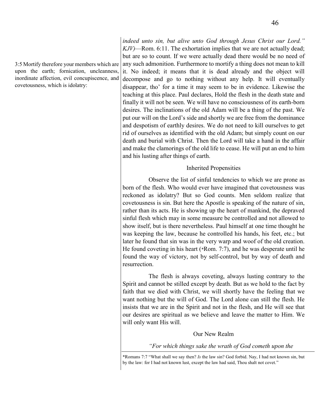3:5 Mortify therefore your members which are upon the earth; fornication, uncleanness, inordinate affection, evil concupiscence, and covetousness, which is idolatry:

*indeed unto sin, but alive unto God through Jesus Christ our Lord." KJV)*—Rom. 6:11. The exhortation implies that we are not actually dead; but are so to count. If we were actually dead there would be no need of any such admonition. Furthermore to mortify a thing does not mean to kill it. No indeed; it means that it is dead already and the object will decompose and go to nothing without any help. It will eventually disappear, tho' for a time it may seem to be in evidence. Likewise the teaching at this place. Paul declares, Hold the flesh in the death state and finally it will not be seen. We will have no consciousness of its earth-born desires. The inclinations of the old Adam will be a thing of the past. We put our will on the Lord's side and shortly we are free from the dominance and despotism of earthly desires. We do not need to kill ourselves to get rid of ourselves as identified with the old Adam; but simply count on our death and burial with Christ. Then the Lord will take a hand in the affair and make the clamorings of the old life to cease. He will put an end to him and his lusting after things of earth.

#### Inherited Propensities

Observe the list of sinful tendencies to which we are prone as born of the flesh. Who would ever have imagined that covetousness was reckoned as idolatry? But so God counts. Men seldom realize that covetousness is sin. But here the Apostle is speaking of the nature of sin, rather than its acts. He is showing up the heart of mankind, the depraved sinful flesh which may in some measure be controlled and not allowed to show itself, but is there nevertheless. Paul himself at one time thought he was keeping the law, because he controlled his hands, his feet, etc.; but later he found that sin was in the very warp and woof of the old creation. He found coveting in his heart (\*Rom. 7:7), and he was desperate until he found the way of victory, not by self-control, but by way of death and resurrection.

The flesh is always coveting, always lusting contrary to the Spirit and cannot be stilled except by death. But as we hold to the fact by faith that we died with Christ, we will shortly have the feeling that we want nothing but the will of God. The Lord alone can still the flesh. He insists that we are in the Spirit and not in the flesh, and He will see that our desires are spiritual as we believe and leave the matter to Him. We will only want His will.

#### Our New Realm

*"For which things sake the wrath of God cometh upon the* 

<sup>\*</sup>Romans 7:7 "What shall we say then? *Is* the law sin? God forbid. Nay, I had not known sin, but by the law: for I had not known lust, except the law had said, Thou shalt not covet."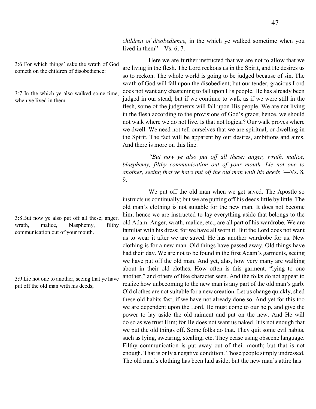3:6 For which things' sake the wrath of God cometh on the children of disobedience:

3:7 In the which ye also walked some time, when ye lived in them.

3:8But now ye also put off all these; anger, wrath, malice, blasphemy, filthy communication out of your mouth.

3:9 Lie not one to another, seeing that ye have put off the old man with his deeds;

*children of disobedience,* in the which ye walked sometime when you lived in them"—Vs. 6, 7.

Here we are further instructed that we are not to allow that we are living in the flesh. The Lord reckons us in the Spirit, and He desires us so to reckon. The whole world is going to be judged because of sin. The wrath of God will fall upon the disobedient; but our tender, gracious Lord does not want any chastening to fall upon His people. He has already been judged in our stead; but if we continue to walk as if we were still in the flesh, some of the judgments will fall upon His people. We are not living in the flesh according to the provisions of God's grace; hence, we should not walk where we do not live. Is that not logical? Our walk proves where we dwell. We need not tell ourselves that we are spiritual, or dwelling in the Spirit. The fact will be apparent by our desires, ambitions and aims. And there is more on this line.

*"But now ye also put off all these; anger, wrath, malice, blasphemy, filthy communication out of your mouth. Lie not one to another, seeing that ye have put off the old man with his deeds"*—Vs. 8, 9.

We put off the old man when we get saved. The Apostle so instructs us continually; but we are putting off his deeds little by little. The old man's clothing is not suitable for the new man. It does not become him; hence we are instructed to lay everything aside that belongs to the old Adam. Anger, wrath, malice, etc., are all part of his wardrobe. We are familiar with his dress; for we have all worn it. But the Lord does not want us to wear it after we are saved. He has another wardrobe for us. New clothing is for a new man. Old things have passed away. Old things have had their day. We are not to be found in the first Adam's garments, seeing we have put off the old man. And yet, alas, how very many are walking about in their old clothes. How often is this garment, "lying to one another," and others of like character seen. And the folks do not appear to realize how unbecoming to the new man is any part of the old man's garb. Old clothes are not suitable for a new creation. Let us change quickly, shed these old habits fast, if we have not already done so. And yet for this too we are dependent upon the Lord. He must come to our help, and give the power to lay aside the old raiment and put on the new. And He will do so as we trust Him; for He does not want us naked. It is not enough that we put the old things off. Some folks do that. They quit some evil habits, such as lying, swearing, stealing, etc. They cease using obscene language. Filthy communication is put away out of their mouth; but that is not enough. That is only a negative condition. Those people simply undressed. The old man's clothing has been laid aside; but the new man's attire has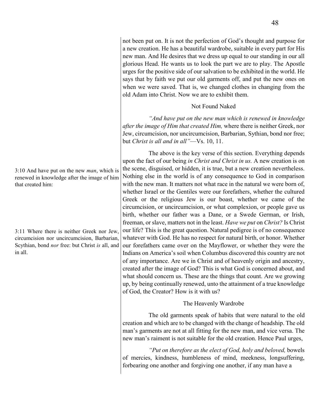not been put on. It is not the perfection of God's thought and purpose for a new creation. He has a beautiful wardrobe, suitable in every part for His new man. And He desires that we dress up equal to our standing in our all glorious Head. He wants us to look the part we are to play. The Apostle urges for the positive side of our salvation to be exhibited in the world. He says that by faith we put our old garments off, and put the new ones on when we were saved. That is, we changed clothes in changing from the old Adam into Christ. Now we are to exhibit them.

## Not Found Naked

*"And have put on the new man which is renewed in knowledge after the image of Him that created Him,* where there is neither Greek, nor Jew, circumcision, nor uncircumcision, Barbarian, Sythian, bond nor free; but *Christ is all and in all"*—Vs. 10, 11.

The above is the key verse of this section. Everything depends upon the fact of our being *in Christ and Christ in us.* A new creation is on the scene, disguised, or hidden, it is true, but a new creation nevertheless. Nothing else in the world is of any consequence to God in comparison with the new man. It matters not what race in the natural we were born of, whether Israel or the Gentiles were our forefathers, whether the cultured Greek or the religious Jew is our boast, whether we came of the circumcision, or uncircumcision, or what complexion, or people gave us birth, whether our father was a Dane, or a Swede German, or Irish, freeman, or slave, matters not in the least. *Have we put* on *Christ?* Is Christ our life? This is the great question. Natural pedigree is of no consequence whatever with God. He has no respect for natural birth, or honor. Whether our forefathers came over on the Mayflower, or whether they were the Indians on America's soil when Columbus discovered this country are not of any importance. Are we in Christ and of heavenly origin and ancestry, created after the image of God? This is what God is concerned about, and what should concern us. These are the things that count. Are we growing up, by being continually renewed, unto the attainment of a true knowledge of God, the Creator? How is it with us?

## The Heavenly Wardrobe

The old garments speak of habits that were natural to the old creation and which are to be changed with the change of headship. The old man's garments are not at all fitting for the new man, and vice versa. The new man's raiment is not suitable for the old creation. Hence Paul urges,

*"Put on therefore as the elect of God, holy and beloved,* bowels of mercies, kindness, humbleness of mind, meekness, longsuffering, forbearing one another and forgiving one another, if any man have a

3:10 And have put on the new *man*, which is renewed in knowledge after the image of him that created him:

3:11 Where there is neither Greek nor Jew, circumcision nor uncircumcision, Barbarian, Scythian, bond *nor* free: but Christ *is* all, and in all.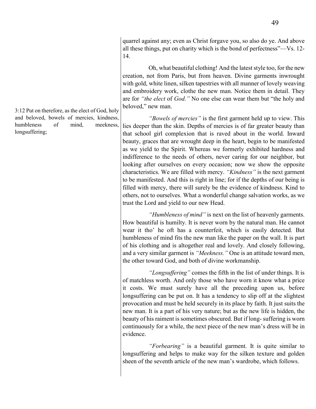3:12 Put on therefore, as the elect of God, holy and beloved, bowels of mercies, kindness, humbleness of mind, meekness, longsuffering;

quarrel against any; even as Christ forgave you, so also do ye. And above all these things, put on charity which is the bond of perfectness"—Vs. 12- 14.

Oh, what beautiful clothing! And the latest style too, for the new creation, not from Paris, but from heaven. Divine garments inwrought with gold, white linen, silken tapestries with all manner of lovely weaving and embroidery work, clothe the new man. Notice them in detail. They are for *"the elect* of *God."* No one else can wear them but "the holy and beloved," new man.

*"Bowels of mercies"* is the first garment held up to view. This lies deeper than the skin. Depths of mercies is of far greater beauty than that school girl complexion that is raved about in the world. Inward beauty, graces that are wrought deep in the heart, begin to be manifested as we yield to the Spirit. Whereas we formerly exhibited hardness and indifference to the needs of others, never caring for our neighbor, but looking after ourselves on every occasion; now we show the opposite characteristics. We are filled with mercy. *"Kindness"* is the next garment to be manifested. And this is right in line; for if the depths of our being is filled with mercy, there will surely be the evidence of kindness. Kind to others, not to ourselves. What a wonderful change salvation works, as we trust the Lord and yield to our new Head.

*"Humbleness of mind"* is next on the list of heavenly garments. How beautiful is humilty. It is never worn by the natural man. He cannot wear it tho' he oft has a counterfeit, which is easily detected. But humbleness of mind fits the new man like the paper on the wall. It is part of his clothing and is altogether real and lovely. And closely following, and a very similar garment is *"Meekness."* One is an attitude toward men, the other toward God, and both of divine workmanship.

*"Longsuffering"* comes the fifth in the list of under things. It is of matchless worth. And only those who have worn it know what a price it costs. We must surely have all the preceding upon us, before longsuffering can be put on. It has a tendency to slip off at the slightest provocation and must be held securely in its place by faith. It just suits the new man. It is a part of his very nature; but as the new life is hidden, the beauty of his raiment is sometimes obscured. But if long- suffering is worn continuously for a while, the next piece of the new man's dress will be in evidence.

*"Forbearing"* is a beautiful garment. It is quite similar to longsuffering and helps to make way for the silken texture and golden sheen of the seventh article of the new man's wardrobe, which follows.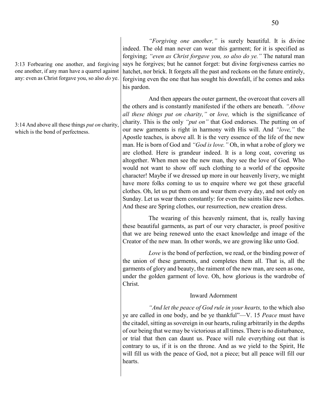3:13 Forbearing one another, and forgiving one another, if any man have a quarrel against any: even as Christ forgave you, so also *do* ye.

3:14 And above all these things *put on* charity, which is the bond of perfectness.

*"Forgiving one another,"* is surely beautiful. It is divine indeed. The old man never can wear this garment; for it is specified as forgiving; *"even as Christ forgave you, so also do ye."* The natural man says he forgives; but he cannot forget: but divine forgiveness carries no hatchet, nor brick. It forgets all the past and reckons on the future entirely, forgiving even the one that has sought his downfall, if he comes and asks his pardon.

And then appears the outer garment, the overcoat that covers all the others and is constantly manifested if the others are beneath. *"Above all these things put on charity,"* or *love,* which is the significance of charity. This is the only *"put on"* that God endorses. The putting on of our new garments is right in harmony with His will. And *"love,"* the Apostle teaches, is above all. It is the very essence of the life of the new man. He is born of God and *"God is love."* Oh, in what a robe of glory we are clothed. Here is grandeur indeed. It is a long coat, covering us altogether. When men see the new man, they see the love of God. Who would not want to show off such clothing to a world of the opposite character! Maybe if we dressed up more in our heavenly livery, we might have more folks coming to us to enquire where we got these graceful clothes. Oh, let us put them on and wear them every day, and not only on Sunday. Let us wear them constantly: for even the saints like new clothes. And these are Spring clothes, our resurrection, new creation dress.

The wearing of this heavenly raiment, that is, really having these beautiful garments, as part of our very character, is proof positive that we are being renewed unto the exact knowledge and image of the Creator of the new man. In other words, we are growing like unto God.

*Love* is the bond of perfection, we read, or the binding power of the union of these garments, and completes them all. That is, all the garments of glory and beauty, the raiment of the new man, are seen as one, under the golden garment of love. Oh, how glorious is the wardrobe of Christ.

#### Inward Adornment

*"And let the peace of God rule in your hearts,* to the which also ye are called in one body, and be ye thankful"—V. 15 *Peace* must have the citadel, sitting as sovereign in our hearts, ruling arbitrarily in the depths of our being that we may be victorious at all times. There is no disturbance, or trial that then can daunt us. Peace will rule everything out that is contrary to us, if it is on the throne. And as we yield to the Spirit, He will fill us with the peace of God, not a piece; but all peace will fill our hearts.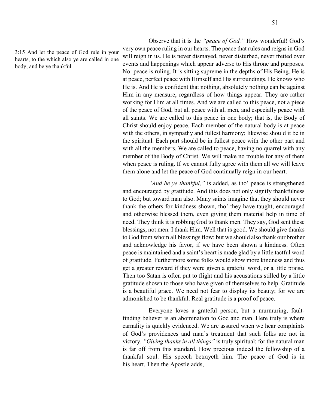3:15 And let the peace of God rule in your hearts, to the which also ye are called in one body; and be ye thankful.

Observe that it is the *"peace of God."* How wonderful! God's very own peace ruling in our hearts. The peace that rules and reigns in God will reign in us. He is never dismayed, never disturbed, never fretted over events and happenings which appear adverse to His throne and purposes. No: peace is ruling. It is sitting supreme in the depths of His Being. He is at peace, perfect peace with Himself and His surroundings. He knows who He is. And He is confident that nothing, absolutely nothing can be against Him in any measure, regardless of how things appear. They are rather working for Him at all times. And we are called to this peace, not a piece of the peace of God, but all peace with all men, and especially peace with all saints. We are called to this peace in one body; that is, the Body of Christ should enjoy peace. Each member of the natural body is at peace with the others, in sympathy and fullest harmony; likewise should it be in the spiritual. Each part should be in fullest peace with the other part and with all the members. We are called to peace, having no quarrel with any member of the Body of Christ. We will make no trouble for any of them when peace is ruling. If we cannot fully agree with them all we will leave them alone and let the peace of God continually reign in our heart.

*"And be ye thankful,"* is added, as tho' peace is strengthened and encouraged by gratitude. And this does not only signify thankfulness to God; but toward man also. Many saints imagine that they should never thank the others for kindness shown, tho' they have taught, encouraged and otherwise blessed them, even giving them material help in time of need. They think it is robbing God to thank men. They say, God sent these blessings, not men. I thank Him. Well that is good. We should give thanks to God from whom all blessings flow; but we should also thank our brother and acknowledge his favor, if we have been shown a kindness. Often peace is maintained and a saint's heart is made glad by a little tactful word of gratitude. Furthermore some folks would show more kindness and thus get a greater reward if they were given a grateful word, or a little praise. Then too Satan is often put to flight and his accusations stilled by a little gratitude shown to those who have given of themselves to help. Gratitude is a beautiful grace. We need not fear to display its beauty; for we are admonished to be thankful. Real gratitude is a proof of peace.

Everyone loves a grateful person, but a murmuring, faultfinding believer is an abomination to God and man. Here truly is where carnality is quickly evidenced. We are assured when we hear complaints of God's providences and man's treatment that such folks are not in victory. *"Giving thanks in all things"* is truly spiritual; for the natural man is far off from this standard. How precious indeed the fellowship of a thankful soul. His speech betrayeth him. The peace of God is in his heart. Then the Apostle adds,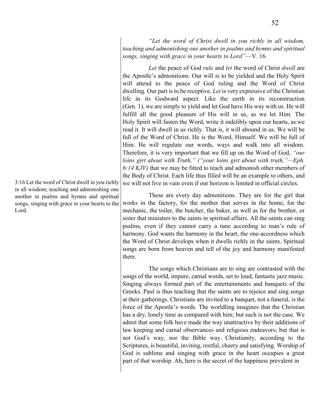*"Let the word of Christ dwell in you richly in all wisdom, teaching and admonishing one another in psalms and hymns and spiritual songs, singing with grace in your hearts to Lord"*—V. 16.

*Let* the peace of God *rule* and *let* the word of Christ *dwell* are the Apostle's admonitions. Our will is to be yielded and the Holy Spirit will attend to the peace of God ruling and the Word of Christ dwelling. Our part is to be receptive. *Let* is very expressive of the Christian life in its Godward aspect. Like the earth in its reconstruction (Gen. 1), we are simply to yield and let God have His way with us. He will fulfill all the good pleasure of His will in us, as we let Him. The Holy Spirit will fasten the Word, write it indelibly upon our hearts, as we read it. It will dwell in us richly. That is, it will abound in us. We will be full of the Word of Christ. He is the Word, Himself. We will be full of Him. He will regulate our words, ways and walk into all wisdom. Therefore, it is very important that we fill up on the Word of God, *"our loins girt about with Truth," ("your loins girt about with truth,"—Eph. 6:14 KJV)* that we may be fitted to teach and admonish other members of the Body of Christ. Each life thus filled will be an example to others, and we will not live in vain even if our horizon is limited in official circles.

These are every day admonitions. They are for the girl that works in the factory, for the mother that serves in the home, for the mechanic, the toiler, the butcher, the baker, as well as for the brother, or sister that ministers to the saints in spiritual affairs. All the saints can sing psalms, even if they cannot carry a tune according to man's rule of harmony. God wants the harmony in the heart, the one-accordness which the Word of Christ develops when it dwells richly in the saints. Spiritual songs are born from heaven and tell of the joy and harmony manifested there.

The songs which Christians are to sing are contrasted with the songs of the world, impure, carnal words, set to loud, fantastic jazz music. Singing always formed part of the entertainments and banquets of the Greeks. Paul is thus teaching that the saints are to rejoice and sing songs at their gatherings. Christians are invited to a banquet, not a funeral, is the force of the Apostle's words. The worldling imagines that the Christian has a dry, lonely time as compared with him; but such is not the case. We admit that some folk have made the way unattractive by their additions of law keeping and carnal observances and religious endeavors; but that is not God's way, nor the Bible way. Christianity, according to the Scriptures, is beautiful, inviting, restful, cheery and satisfying. Worship of God is sublime and singing with grace in the heart occupies a great part of that worship. Ah, here is the secret of the happiness prevalent in

3:16 Let the word of Christ dwell in you richly in all wisdom; teaching and admonishing one another in psalms and hymns and spiritual songs, singing with grace in your hearts to the Lord.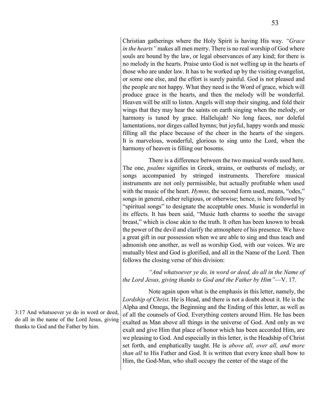Christian gatherings where the Holy Spirit is having His way. *"Grace in the hearts"* makes all men merry. There is no real worship of God where souls are bound by the law, or legal observances of any kind; for there is no melody in the hearts. Praise unto God is not welling up in the hearts of those who are under law. It has to be worked up by the visiting evangelist, or some one else, and the effort is surely painful. God is not pleased and the people are not happy. What they need is the Word of grace, which will produce grace in the hearts, and then the melody will be wonderful. Heaven will be still to listen. Angels will stop their singing, and fold their wings that they may hear the saints on earth singing when the melody, or harmony is tuned by grace. Hallelujah! No long faces, nor doleful lamentations, nor dirges called hymns; but joyful, happy words and music filling all the place because of the cheer in the hearts of the singers. It is marvelous, wonderful, glorious to sing unto the Lord, when the harmony of heaven is filling our bosoms.

There is a difference between the two musical words used here. The one, *psalms* signifies in Greek, strains, or outbursts of melody, or songs accompanied by stringed instruments. Therefore musical instruments are not only permissible, but actually profitable when used with the music of the heart. *Hymns*, the second form used, means, "odes," songs in general, either religious, or otherwise; hence, is here followed by "spiritual songs" to designate the acceptable ones. Music is wonderful in its effects. It has been said, "Music hath charms to soothe the savage breast," which is close akin to the truth. It often has been known to break the power of the devil and clarify the atmosphere of his presence. We have a great gift in our possession when we are able to sing and thus teach and admonish one another, as well as worship God, with our voices. We are mutually blest and God is glorified, and all in the Name of the Lord. Then follows the closing verse of this division:

*"And whatsoever ye do, in word or deed, do all in the Name of the Lord Jesus, giving thanks to God and the Father by Him"*—V. 17.

Note again upon what is the emphasis in this letter, namely, the *Lordship of Christ.* He is Head, and there is not a doubt about it. He is the Alpha and Omega, the Beginning and the Ending of this letter, as well as of all the counsels of God. Everything centers around Him. He has been exalted as Man above all things in the universe of God. And only as we exalt and give Him that place of honor which has been accorded Him, are we pleasing to God. And especially in this letter, is the Headship of Christ set forth, and emphatically taught. He is *above all, over all, and more than all* to His Father and God. It is written that every knee shall bow to Him, the God-Man, who shall occupy the center of the stage of the

3:17 And whatsoever ye do in word or deed, do all in the name of the Lord Jesus, giving thanks to God and the Father by him.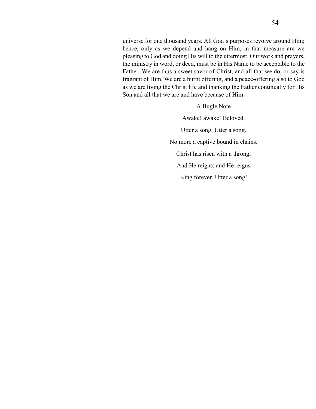universe for one thousand years. All God's purposes revolve around Him; hence, only as we depend and hang on Him, in that measure are we pleasing to God and doing His will to the uttermost. Our work and prayers, the ministry in word, or deed, must be in His Name to be acceptable to the Father. We are thus a sweet savor of Christ, and all that we do, or say is fragrant of Him. We are a burnt offering, and a peace-offering also to God as we are living the Christ life and thanking the Father continually for His Son and all that we are and have because of Him.

> A Bugle Note Awake! awake! Beloved. Utter a song; Utter a song. No more a captive bound in chains. Christ has risen with a throng, And He reigns; and He reigns King forever. Utter a song!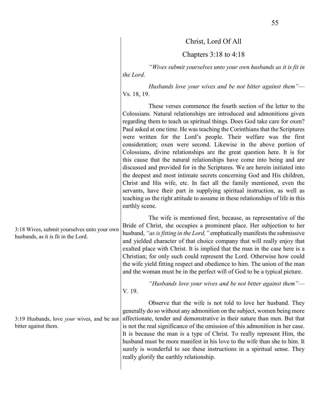Christ, Lord Of All

Chapters 3:18 to 4:18

*"Wives submit yourselves unto your own husbands as it is fit in the Lord.* 

*Husbands love your wives and be not bitter against them"*— Vs. 18, 19.

These verses commence the fourth section of the letter to the Colossians. Natural relationships are introduced and admonitions given regarding them to teach us spiritual things. Does God take care for oxen? Paul asked at one time. He was teaching the Corinthians that the Scriptures were written for the Lord's people. Their welfare was the first consideration; oxen were second. Likewise in the above portion of Colossians, divine relationships are the great question here. It is for this cause that the natural relationships have come into being and are discussed and provided for in the Scriptures. We are herein initiated into the deepest and most intimate secrets concerning God and His children, Christ and His wife, etc. In fact all the family mentioned, even the servants, have their part in supplying spiritual instruction, as well as teaching us the right attitude to assume in these relationships of life in this earthly scene.

The wife is mentioned first, because, as representative of the Bride of Christ, she occupies a prominent place. Her subjection to her husband, *"as is fitting in the Lord,"* emphatically manifests the submissive and yielded character of that choice company that will really enjoy that exalted place with Christ. It is implied that the man in the case here is a Christian; for only such could represent the Lord. Otherwise how could the wife yield fitting respect and obedience to him. The union of the man and the woman must be in the perfect will of God to be a typical picture.

*"Husbands love your wives and be not bitter against them"*— V. 19.

Observe that the wife is not told to love her husband. They generally do so without any admonition on the subject, women being more affectionate, tender and demonstrative in their nature than men. But that is not the real significance of the omission of this admonition in her case. It is because the man is a type of Christ. To really represent Him, the husband must be more manifest in his love to the wife than she to him. It surely is wonderful to see these instructions in a spiritual sense. They really glorify the earthly relationship.

3:18 Wives, submit yourselves unto your own husbands, as it is fit in the Lord.

3:19 Husbands, love *your* wives, and be not bitter against them.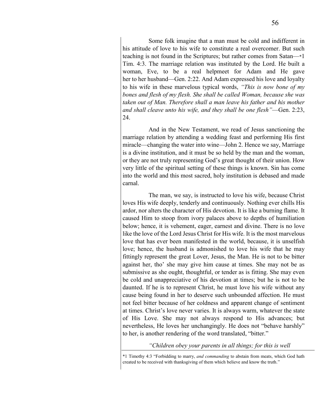Some folk imagine that a man must be cold and indifferent in his attitude of love to his wife to constitute a real overcomer. But such teaching is not found in the Scriptures; but rather comes from Satan—\*1 Tim. 4:3. The marriage relation was instituted by the Lord. He built a woman, Eve, to be a real helpmeet for Adam and He gave her to her husband—Gen. 2:22. And Adam expressed his love and loyalty to his wife in these marvelous typical words, *"This is now bone of my bones and flesh of my flesh. She shall be called Woman, because she was taken out of Man. Therefore shall a man leave his father and his mother and shall cleave unto his wife, and they shall be one flesh"*—Gen. 2:23, 24.

And in the New Testament, we read of Jesus sanctioning the marriage relation by attending a wedding feast and performing His first miracle—changing the water into wine—John 2. Hence we say, Marriage is a divine institution, and it must be so held by the man and the woman, or they are not truly representing God's great thought of their union. How very little of the spiritual setting of these things is known. Sin has come into the world and this most sacred, holy institution is debased and made carnal.

The man, we say, is instructed to love his wife, because Christ loves His wife deeply, tenderly and continuously. Nothing ever chills His ardor, nor alters the character of His devotion. It is like a burning flame. It caused Him to stoop from ivory palaces above to depths of humiliation below; hence, it is vehement, eager, earnest and divine. There is no love like the love of the Lord Jesus Christ for His wife. It is the most marvelous love that has ever been manifested in the world, because, it is unselfish love; hence, the husband is admonished to love his wife that he may fittingly represent the great Lover, Jesus, the Man. He is not to be bitter against her, tho' she may give him cause at times. She may not be as submissive as she ought, thoughtful, or tender as is fitting. She may even be cold and unappreciative of his devotion at times; but he is not to be daunted. If he is to represent Christ, he must love his wife without any cause being found in her to deserve such unbounded affection. He must not feel bitter because of her coldness and apparent change of sentiment at times. Christ's love never varies. It is always warm, whatever the state of His Love. She may not always respond to His advances; but nevertheless, He loves her unchangingly. He does not "behave harshly" to her, is another rendering of the word translated, "bitter."

#### *"Children obey your parents in all things; for this is well*

<sup>\*1</sup> Timothy 4:3 "Forbidding to marry, *and commanding* to abstain from meats, which God hath created to be received with thanksgiving of them which believe and know the truth."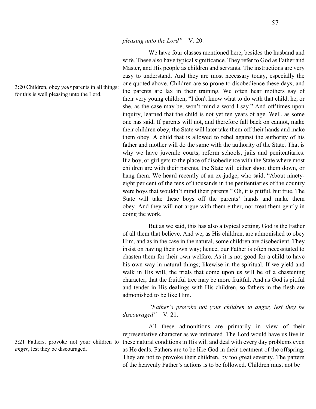#### *pleasing unto the Lord"*—V. 20.

We have four classes mentioned here, besides the husband and wife. These also have typical significance. They refer to God as Father and Master, and His people as children and servants. The instructions are very easy to understand. And they are most necessary today, especially the one quoted above. Children are so prone to disobedience these days; and the parents are lax in their training. We often hear mothers say of their very young children, "I don't know what to do with that child, he, or she, as the case may be, won't mind a word I say." And oft'times upon inquiry, learned that the child is not yet ten years of age. Well, as some one has said, If parents will not, and therefore fall back on cannot, make their children obey, the State will later take them off their hands and make them obey. A child that is allowed to rebel against the authority of his father and mother will do the same with the authority of the State. That is why we have juvenile courts, reform schools, jails and penitentiaries. If a boy, or girl gets to the place of disobedience with the State where most children are with their parents, the State will either shoot them down, or hang them. We heard recently of an ex-judge, who said, "About ninetyeight per cent of the tens of thousands in the penitentiaries of the country were boys that wouldn't mind their parents." Oh, it is pitiful, but true. The State will take these boys off the parents' hands and make them obey. And they will not argue with them either, nor treat them gently in doing the work.

But as we said, this has also a typical setting. God is the Father of all them that believe. And we, as His children, are admonished to obey Him, and as in the case in the natural, some children are disobedient. They insist on having their own way; hence, our Father is often necessitated to chasten them for their own welfare. As it is not good for a child to have his own way in natural things; likewise in the spiritual. If we yield and walk in His will, the trials that come upon us will be of a chastening character, that the fruitful tree may be more fruitful. And as God is pitiful and tender in His dealings with His children, so fathers in the flesh are admonished to be like Him.

*"Father's provoke not your children to anger, lest they be discouraged"*—V. 21.

All these admonitions are primarily in view of their representative character as we intimated. The Lord would have us live in these natural conditions in His will and deal with every day problems even as He deals. Fathers are to be like God in their treatment of the offspring. They are not to provoke their children, by too great severity. The pattern of the heavenly Father's actions is to be followed. Children must not be

3:21 Fathers, provoke not your children to *anger*, lest they be discouraged.

3:20 Children, obey *your* parents in all things: for this is well pleasing unto the Lord.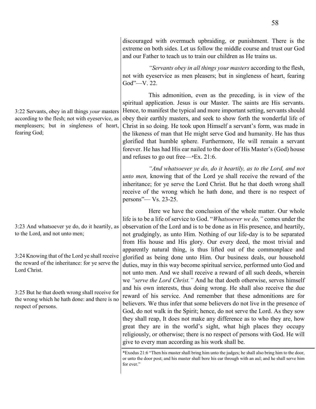discouraged with overmuch upbraiding, or punishment. There is the extreme on both sides. Let us follow the middle course and trust our God and our Father to teach us to train our children as He trains us.

*"Servants obey in all things your masters* according to the flesh, not with eyeservice as men pleasers; but in singleness of heart, fearing God"—V. 22.

This admonition, even as the preceding, is in view of the spiritual application. Jesus is our Master. The saints are His servants. Hence, to manifest the typical and more important setting, servants should obey their earthly masters, and seek to show forth the wonderful life of Christ in so doing. He took upon Himself a servant's form, was made in the likeness of man that He might serve God and humanity. He has thus glorified that humble sphere. Furthermore, He will remain a servant forever. He has had His ear nailed to the door of His Master's (God) house and refuses to go out free—\*Ex. 21:6.

*"And whatsoever ye do, do it heartily, as to the Lord, and not unto men,* knowing that of the Lord ye shall receive the reward of the inheritance; for ye serve the Lord Christ. But he that doeth wrong shall receive of the wrong which he hath done, and there is no respect of persons"— Vs. 23-25.

Here we have the conclusion of the whole matter. Our whole life is to be a life of service to God. "*Whatsoever we do,"* comes under the observation of the Lord and is to be done as in His presence, and heartily, not grudgingly, as unto Him. Nothing of our life-day is to be separated from His house and His glory. Our every deed, the most trivial and apparently natural thing, is thus lifted out of the commonplace and glorified as being done unto Him. Our business deals, our household duties, may in this way become spiritual service, performed unto God and not unto men. And we shall receive a reward of all such deeds, wherein we *"serve the Lord Christ."* And he that doeth otherwise, serves himself and his own interests, thus doing wrong. He shall also receive the due reward of his service. And remember that these admonitions are for believers. We thus infer that some believers do not live in the presence of God, do not walk in the Spirit; hence, do not serve the Lord. As they sow they shall reap, It does not make any difference as to who they are, how great they are in the world's sight, what high places they occupy religiously, or otherwise; there is no respect of persons with God. He will give to every man according as his work shall be.

\*Exodus 21:6 "Then his master shall bring him unto the judges; he shall also bring him to the door, or unto the door post; and his master shall bore his ear through with an aul; and he shall serve him for ever."

3:22 Servants, obey in all things *your* masters according to the flesh; not with eyeservice, as menpleasers; but in singleness of heart, fearing God;

3:23 And whatsoever ye do, do it heartily, as to the Lord, and not unto men;

3:24 Knowing that of the Lord ye shall receive the reward of the inheritance: for ye serve the Lord Christ.

3:25 But he that doeth wrong shall receive for the wrong which he hath done: and there is no respect of persons.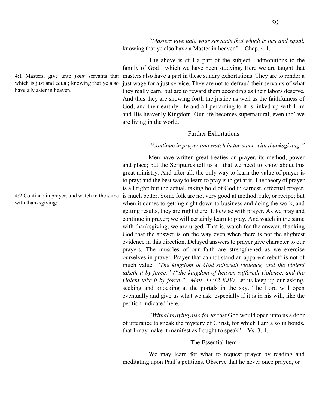4:1 Masters, give unto *your* servants that which is just and equal; knowing that ye also have a Master in heaven.

4:2 Continue in prayer, and watch in the same with thanksgiving;

*"Masters give unto your servants that which is just and equal,*  knowing that ye also have a Master in heaven"—Chap. 4:1.

The above is still a part of the subject—admonitions to the family of God—which we have been studying. Here we are taught that masters also have a part in these sundry exhortations. They are to render a just wage for a just service. They are not to defraud their servants of what they really earn; but are to reward them according as their labors deserve. And thus they are showing forth the justice as well as the faithfulness of God, and their earthly life and all pertaining to it is linked up with Him and His heavenly Kingdom. Our life becomes supernatural, even tho' we are living in the world.

#### Further Exhortations

#### *"Continue in prayer and watch in the same with thanksgiving."*

Men have written great treaties on prayer, its method, power and place; but the Scriptures tell us all that we need to know about this great ministry. And after all, the only way to learn the value of prayer is to pray; and the best way to learn to pray is to get at it. The theory of prayer is all right; but the actual, taking hold of God in earnest, effectual prayer, is much better. Some folk are not very good at method, rule, or recipe; but when it comes to getting right down to business and doing the work, and getting results, they are right there. Likewise with prayer. As we pray and continue in prayer; we will certainly learn to pray. And watch in the same with thanksgiving, we are urged. That is, watch for the answer, thanking God that the answer is on the way even when there is not the slightest evidence in this direction. Delayed answers to prayer give character to our prayers. The muscles of our faith are strengthened as we exercise ourselves in prayer. Prayer that cannot stand an apparent rebuff is not of much value. *"The kingdom of God suffereth violence, and the violent taketh it by force." ("the kingdom of heaven suffereth violence, and the violent take it by force."—Matt. 11:12 KJV)* Let us keep up our asking, seeking and knocking at the portals in the sky. The Lord will open eventually and give us what we ask, especially if it is in his will, like the petition indicated here.

*"Withal praying also for us* that God would open unto us a door of utterance to speak the mystery of Christ, for which I am also in bonds, that I may make it manifest as I ought to speak"—Vs. 3, 4.

#### The Essential Item

We may learn for what to request prayer by reading and meditating upon Paul's petitions. Observe that he never once prayed, or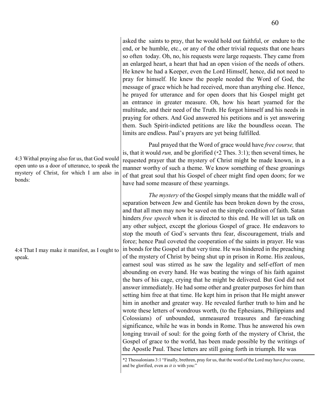asked the saints to pray, that he would hold out faithful, or endure to the end, or be humble, etc., or any of the other trivial requests that one hears so often today. Oh, no, his requests were large requests. They came from an enlarged heart, a heart that had an open vision of the needs of others. He knew he had a Keeper, even the Lord Himself, hence, did not need to pray for himself. He knew the people needed the Word of God, the message of grace which he had received, more than anything else. Hence, he prayed for utterance and for open doors that his Gospel might get an entrance in greater measure. Oh, how his heart yearned for the multitude, and their need of the Truth. He forgot himself and his needs in praying for others. And God answered his petitions and is yet answering them. Such Spirit-indicted petitions are like the boundless ocean. The limits are endless. Paul's prayers are yet being fulfilled.

Paul prayed that the Word of grace would have *free course,* that is, that it would *run,* and be glorified (\*2 Thes. 3:1); then several times, he requested prayer that the mystery of Christ might be made known, in a manner worthy of such a theme. We know something of these groanings of that great soul that his Gospel of cheer might find open doors; for we have had some measure of these yearnings.

*The mystery* of the Gospel simply means that the middle wall of separation between Jew and Gentile has been broken down by the cross, and that all men may now be saved on the simple condition of faith. Satan hinders *free speech* when it is directed to this end. He will let us talk on any other subject, except the glorious Gospel of grace. He endeavors to stop the mouth of God's servants thru fear, discouragement, trials and force; hence Paul coveted the cooperation of the saints in prayer. He was in bonds for the Gospel at that very time. He was hindered in the preaching of the mystery of Christ by being shut up in prison in Rome. His zealous, earnest soul was stirred as he saw the legality and self-effort of men abounding on every hand. He was beating the wings of his faith against the bars of his cage, crying that he might be delivered. But God did not answer immediately. He had some other and greater purposes for him than setting him free at that time. He kept him in prison that He might answer him in another and greater way. He revealed further truth to him and he wrote these letters of wondrous worth, (to the Ephesians, Philippians and Colossians) of unbounded, unmeasured treasures and far-reaching significance, while he was in bonds in Rome. Thus he answered his own longing travail of soul: for the going forth of the mystery of Christ, the Gospel of grace to the world, has been made possible by the writings of the Apostle Paul. These letters are still going forth in triumph. He was

\*2 Thessalonians 3:1 "Finally, brethren, pray for us, that the word of the Lord may have *free* course, and be glorified, even as *it is* with you:"

4:3 Withal praying also for us, that God would open unto us a door of utterance, to speak the mystery of Christ, for which I am also in bonds:

4:4 That I may make it manifest, as I ought to speak.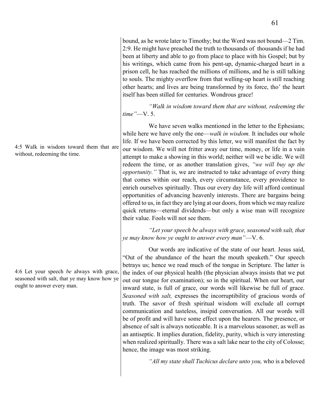bound, as he wrote later to Timothy; but the Word was not bound—2 Tim. 2:9. He might have preached the truth to thousands of thousands if he had been at liberty and able to go from place to place with his Gospel; but by his writings, which came from his pent-up, dynamic-charged heart in a prison cell, he has reached the millions of millions, and he is still talking to souls. The mighty overflow from that welling-up heart is still reaching other hearts; and lives are being transformed by its force, tho' the heart itself has been stilled for centuries. Wondrous grace!

*"Walk in wisdom toward them that are without, redeeming the time"*—V. 5.

We have seven walks mentioned in the letter to the Ephesians; while here we have only the one—*walk in wisdom*. It includes our whole life. If we have been corrected by this letter, we will manifest the fact by our wisdom. We will not fritter away our time, money, or life in a vain attempt to make a showing in this world; neither will we be idle. We will redeem the time, or as another translation gives, *"we will buy up the opportunity."* That is, we are instructed to take advantage of every thing that comes within our reach, every circumstance, every providence to enrich ourselves spiritually. Thus our every day life will afford continual opportunities of advancing heavenly interests. There are bargains being offered to us, in fact they are lying at our doors, from which we may realize quick returns—eternal dividends—but only a wise man will recognize their value. Fools will not see them.

*"Let your speech be always with grace, seasoned with salt, that ye may know how ye ought to answer every man"*—V. 6.

Our words are indicative of the state of our heart. Jesus said, "Out of the abundance of the heart the mouth speaketh." Our speech betrays us; hence we read much of the tongue in Scripture. The latter is the index of our physical health (the physician always insists that we put out our tongue for examination); so in the spiritual. When our heart, our inward state, is full of grace, our words will likewise be full of grace. *Seasoned with salt,* expresses the incorruptibility of gracious words of truth. The savor of fresh spiritual wisdom will exclude all corrupt communication and tasteless, insipid conversation. All our words will be of profit and will have some effect upon the hearers. The presence, or absence of salt is always noticeable. It is a marvelous seasoner, as well as an antiseptic. It implies duration, fidelity, purity, which is very interesting when realized spiritually. There was a salt lake near to the city of Colosse; hence, the image was most striking.

*"All my state shall Tuchicus declare unto you,* who is a beloved

4:5 Walk in wisdom toward them that are without, redeeming the time.

4:6 Let your speech *be* always with grace, seasoned with salt, that ye may know how ye ought to answer every man.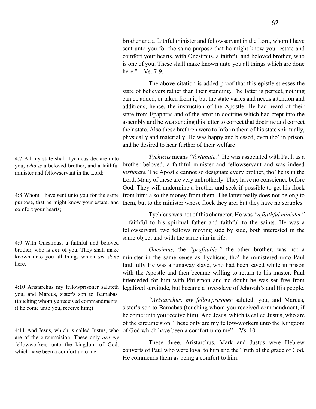brother and a faithful minister and fellowservant in the Lord, whom I have sent unto you for the same purpose that he might know your estate and comfort your hearts, with Onesimus, a faithful and beloved brother, who is one of you. These shall make known unto you all things which are done here."—Vs. 7-9.

The above citation is added proof that this epistle stresses the state of believers rather than their standing. The latter is perfect, nothing can be added, or taken from it; but the state varies and needs attention and additions, hence, the instruction of the Apostle. He had heard of their state from Epaphras and of the error in doctrine which had crept into the assembly and he was sending this letter to correct that doctrine and correct their state. Also these brethren were to inform them of his state spiritually, physically and materially. He was happy and blessed, even tho' in prison, and he desired to hear further of their welfare

*Tychicus* means *"fortunate."* He was associated with Paul, as a brother beloved, a faithful minister and fellowservant and was indeed *fortunate.* The Apostle cannot so designate every brother, tho' he is in the Lord. Many of these are very unbrotherly. They have no conscience before God. They will undermine a brother and seek if possible to get his flock from him; also the money from them. The latter really does not belong to them, but to the minister whose flock they are; but they have no scruples.

> Tychicus was not of this character. He was *"a faithful minister"*  —faithful to his spiritual father and faithful to the saints. He was a fellowservant, two fellows moving side by side, both interested in the same object and with the same aim in life.

> *Onesimus,* the *"profitable,"* the other brother, was not a minister in the same sense as Tychicus, tho' he ministered unto Paul faithfully He was a runaway slave, who had been saved while in prison with the Apostle and then became willing to return to his master. Paul interceded for him with Philemon and no doubt he was set free from legalized servitude, but became a love-slave of Jehovah's and His people.

> *"Aristarchus, my fellowprisoner* saluteth you, and Marcus, sister's son to Barnabas (touching whom you received commandment, if he come unto you receive him). And Jesus, which is called Justus, who are of the circumcision. These only are my fellow-workers unto the Kingdom of God which have been a comfort unto me"—Vs. 10.

> These three, Aristarchus, Mark and Justus were Hebrew converts of Paul who were loyal to him and the Truth of the grace of God. He commends them as being a comfort to him.

4:7 All my state shall Tychicus declare unto you, *who is* a beloved brother, and a faithful minister and fellowservant in the Lord:

4:8 Whom I have sent unto you for the same purpose, that he might know your estate, and comfort your hearts;

4:9 With Onesimus, a faithful and beloved brother, who is *one* of you. They shall make known unto you all things which *are done* here.

4:10 Aristarchus my fellowprisoner saluteth you, and Marcus, sister's son to Barnabas, (touching whom ye received commandments: if he come unto you, receive him;)

4:11 And Jesus, which is called Justus, who are of the circumcision. These only *are my* fellowworkers unto the kingdom of God, which have been a comfort unto me.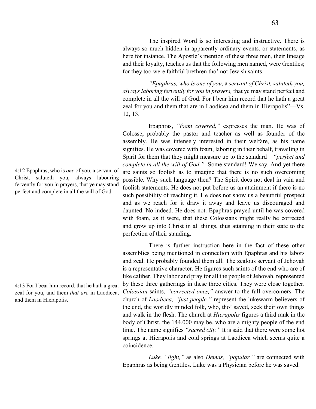The inspired Word is so interesting and instructive. There is always so much hidden in apparently ordinary events, or statements, as here for instance. The Apostle's mention of these three men, their lineage and their loyalty, teaches us that the following men named, were Gentiles; for they too were faithful brethren tho' not Jewish saints.

*"Epaphras, who is one of you,* a *servant of Christ, saluteth you, always laboring fervently for you in prayers,* that ye may stand perfect and complete in all the will of God. For I bear him record that he hath a great zeal for you and them that are in Laodicea and them in Hierapolis"—Vs. 12, 13.

Epaphras, *"foam covered,"* expresses the man. He was of Colosse, probably the pastor and teacher as well as founder of the assembly. He was intensely interested in their welfare, as his name signifies. He was covered with foam, laboring in their behalf, travailing in Spirit for them that they might measure up to the standard—*"perfect and complete in all the will of God."* Some standard! We say. And yet there are saints so foolish as to imagine that there is no such overcoming possible. Why such language then? The Spirit does not deal in vain and foolish statements. He does not put before us an attainment if there is no such possibility of reaching it. He does not show us a beautiful prospect and as we reach for it draw it away and leave us discouraged and daunted. No indeed. He does not. Epaphras prayed until he was covered with foam, as it were, that these Colossians might really be corrected and grow up into Christ in all things, thus attaining in their state to the perfection of their standing.

There is further instruction here in the fact of these other assemblies being mentioned in connection with Epaphras and his labors and zeal. He probably founded them all. The zealous servant of Jehovah is a representative character. He figures such saints of the end who are of like caliber. They labor and pray for all the people of Jehovah, represented by these three gatherings in these three cities. They were close together. *Colossian* saints, *"corrected ones,"* answer to the full overcomers. The church of *Laodicea, "just people,"* represent the lukewarm believers of the end, the worldly minded folk, who, tho' saved, seek their own things and walk in the flesh. The church at *Hierapolis* figures a third rank in the body of Christ, the 144,000 may be, who are a mighty people of the end time. The name signifies *"sacred city."* It is said that there were some hot springs at Hierapolis and cold springs at Laodicea which seems quite a coincidence.

*Luke, "light,"* as also *Demas, "popular,"* are connected with Epaphras as being Gentiles. Luke was a Physician before he was saved.

4:12 Epaphras, who is *one* of you, a servant of Christ, saluteth you, always labouring fervently for you in prayers, that ye may stand perfect and complete in all the will of God.

4:13 For I bear him record, that he hath a great zeal for you, and them *that are* in Laodicea, and them in Hierapolis.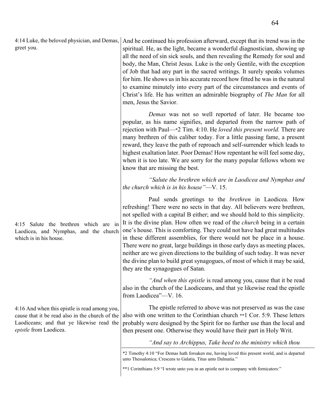4:14 Luke, the beloved physician, and Demas, greet you. And he continued his profession afterward, except that its trend was in the

4:15 Salute the brethren which are in Laodicea, and Nymphas, and the church which is in his house.

4:16 And when this epistle is read among you, cause that it be read also in the church of the Laodiceans; and that ye likewise read the *epistle* from Laodicea.

spiritual. He, as the light, became a wonderful diagnostician, showing up all the need of sin sick souls, and then revealing the Remedy for soul and body, the Man, Christ Jesus. Luke is the only Gentile, with the exception of Job that had any part in the sacred writings. It surely speaks volumes for him. He shows us in his accurate record how fitted he was in the natural to examine minutely into every part of the circumstances and events of Christ's life. He has written an admirable biography of *The Man* for all men, Jesus the Savior.

*Demas* was not so well reported of later. He became too popular, as his name signifies, and departed from the narrow path of rejection with Paul—\*2 Tim. 4:10. He *loved this present world.* There are many brethren of this caliber today. For a little passing fame, a present reward, they leave the path of reproach and self-surrender which leads to highest exaltation later. Poor Demas! How repentant he will feel some day, when it is too late. We are sorry for the many popular fellows whom we know that are missing the best.

*"Salute the brethren which are in Laodicea and Nymphas and the church which is in his house"*—V. 15.

Paul sends greetings to the *brethren* in Laodicea. How refreshing! There were no sects in that day. All believers were brethren, not spelled with a capital B either; and we should hold to this simplicity. It is the divine plan. How often we read of the *church* being in a certain one's house. This is comforting. They could not have had great multitudes in these different assemblies, for there would not be place in a house. There were no great, large buildings in those early days as meeting places, neither are we given directions to the building of such today. It was never the divine plan to build great synagogues, of most of which it may be said, they are the synagogues of Satan.

*"And when this epistle* is read among you, cause that it be read also in the church of the Laodiceans, and that ye likewise read the epistle from Laodicea"—V. 16.

The epistle referred to above was not preserved as was the case also with one written to the Corinthian church \*\*1 Cor. 5:9. These letters probably were designed by the Spirit for no further use than the local and then present one. Otherwise they would have their part in Holy Writ.

*"And say to Archippus, Take heed to the ministry which thou*

\*2 Timothy 4:10 "For Demas hath forsaken me, having loved this present world, and is departed unto Thessalonica; Crescens to Galatia, Titus unto Dalmatia."

\*\*1 Corinthians 5:9 "I wrote unto you in an epistle not to company with fornicators:"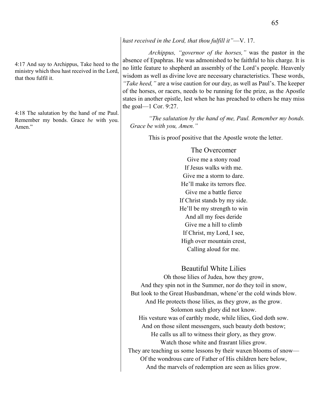4:17 And say to Archippus, Take heed to the ministry which thou hast received in the Lord, that thou fulfil it.

4:18 The salutation by the hand of me Paul. Remember my bonds. Grace *be* with you. Amen<sup>"</sup>

### *hast received in the Lord, that thou fulfill it"*—V. 17.

*Archippus, "governor of the horses,"* was the pastor in the absence of Epaphras. He was admonished to be faithful to his charge. It is no little feature to shepherd an assembly of the Lord's people. Heavenly wisdom as well as divine love are necessary characteristics. These words, *"Take heed,"* are a wise caution for our day, as well as Paul's. The keeper of the horses, or racers, needs to be running for the prize, as the Apostle states in another epistle, lest when he has preached to others he may miss the goal— $1$  Cor. 9:27.

*"The salutation by the hand of me, Paul. Remember my bonds. Grace be with you, Amen."*

This is proof positive that the Apostle wrote the letter.

### The Overcomer

Give me a stony road If Jesus walks with me. Give me a storm to dare. He'll make its terrors flee. Give me a battle fierce If Christ stands by my side. He'll be my strength to win And all my foes deride Give me a hill to climb If Christ, my Lord, I see, High over mountain crest, Calling aloud for me.

Beautiful White Lilies

Oh those lilies of Judea, how they grow, And they spin not in the Summer, nor do they toil in snow, But look to the Great Husbandman, whene'er the cold winds blow. And He protects those lilies, as they grow, as the grow. Solomon such glory did not know. His vesture was of earthly mode, while lilies, God doth sow. And on those silent messengers, such beauty doth bestow; He calls us all to witness their glory, as they grow. Watch those white and frasrant lilies grow. They are teaching us some lessons by their waxen blooms of snow— Of the wondrous care of Father of His children here below, And the marvels of redemption are seen as lilies grow.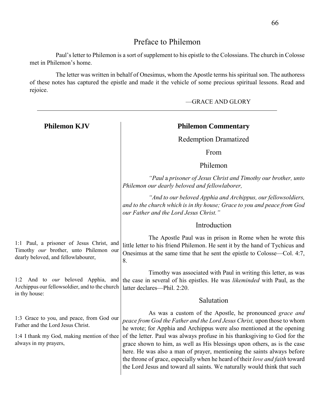# Preface to Philemon

Paul's letter to Philemon is a sort of supplement to his epistle to the Colossians. The church in Colosse met in Philemon's home.

The letter was written in behalf of Onesimus, whom the Apostle terms his spiritual son. The authoress of these notes has captured the epistle and made it the vehicle of some precious spiritual lessons. Read and rejoice.

—GRACE AND GLORY **Philemon KJV** 1:1 Paul, a prisoner of Jesus Christ, and Timothy *our* brother, unto Philemon our dearly beloved, and fellowlabourer, 1:2 And to *our* beloved Apphia, and Archippus our fellowsoldier, and to the church in thy house: 1:3 Grace to you, and peace, from God our Father and the Lord Jesus Christ. 1:4 I thank my God, making mention of thee always in my prayers, **Philemon Commentary**  Redemption Dramatized From Philemon *"Paul* a *prisoner of Jesus Christ and Timothy our brother, unto Philemon our dearly beloved and fellowlaborer, "And to our beloved Apphia and Archippus, our fellowsoldiers, and to the church which is in thy house; Grace to you and peace from God our Father and the Lord Jesus Christ."* Introduction The Apostle Paul was in prison in Rome when he wrote this little letter to his friend Philemon. He sent it by the hand of Tychicus and Onesimus at the same time that he sent the epistle to Colosse—Col. 4:7, 8. Timothy was associated with Paul in writing this letter, as was the case in several of his epistles. He was *likeminded* with Paul, as the latter declares—Phil. 2:20 Salutation As was a custom of the Apostle, he pronounced *grace and peace from God the Father and the Lord Jesus Christ,* upon those to whom he wrote; for Apphia and Archippus were also mentioned at the opening of the letter. Paul was always profuse in his thanksgiving to God for the grace shown to him, as well as His blessings upon others, as is the case here. He was also a man of prayer, mentioning the saints always before the throne of grace, especially when he heard of their *love and faith* toward the Lord Jesus and toward all saints. We naturally would think that such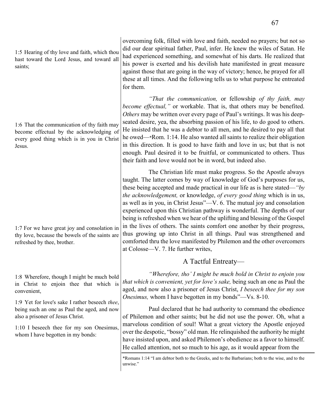1:5 Hearing of thy love and faith, which thou hast toward the Lord Jesus, and toward all saints;

1:6 That the communication of thy faith may become effectual by the acknowledging of every good thing which is in you in Christ Jesus.

1:7 For we have great joy and consolation in thy love, because the bowels of the saints are refreshed by thee, brother.

1:8 Wherefore, though I might be much bold in Christ to enjoin thee that which is convenient,

1:9 Yet for love's sake I rather beseech *thee*, being such an one as Paul the aged, and now also a prisoner of Jesus Christ.

1:10 I beseech thee for my son Onesimus, whom I have begotten in my bonds:

overcoming folk, filled with love and faith, needed no prayers; but not so did our dear spiritual father, Paul, infer. He knew the wiles of Satan. He had experienced something, and somewhat of his darts. He realized that his power is exerted and his devilish hate manifested in great measure against those that are going in the way of victory; hence, he prayed for all these at all times. And the following tells us to what purpose he entreated for them.

*"That the communication,* or fellowship *of thy faith, may become effectual,"* or workable. That is, that others may be benefited. *Others* may be written over every page of Paul's writings. It was his deepseated desire, yea, the absorbing passion of his life, to do good to others. He insisted that he was a debtor to all men, and he desired to pay all that he owed—\*Rom. 1:14. He also wanted all saints to realize their obligation in this direction. It is good to have faith and love in us; but that is not enough. Paul desired it to be fruitful, or communicated to others. Thus their faith and love would not be in word, but indeed also.

The Christian life must make progress. So the Apostle always taught. The latter comes by way of knowledge of God's purposes for us, these being accepted and made practical in our life as is here stated—*"by the acknowledgement,* or knowledge, *of every good thing* which is in us, as well as in you, in Christ Jesus"—V. 6. The mutual joy and consolation experienced upon this Christian pathway is wonderful. The depths of our being is refreshed when we hear of the uplifting and blessing of the Gospel in the lives of others. The saints comfort one another by their progress, thus growing up into Christ in all things. Paul was strengthened and comforted thru the love manifested by Philemon and the other overcomers at Colosse—V. 7. He further writes,

# A Tactful Entreaty—

*"Wherefore, tho' I might be much bold in Christ to enjoin you that which is convenient, yet for love's sake,* being such an one as Paul the aged, and now also a prisoner of Jesus Christ, *I beseech thee for my son Onesimus,* whom I have begotten in my bonds"—Vs. 8-10.

Paul declared that he had authority to command the obedience of Philemon and other saints; but he did not use the power. Oh, what a marvelous condition of soul! What a great victory the Apostle enjoyed over the despotic, "bossy" old man. He relinquished the authority he might have insisted upon, and asked Philemon's obedience as a favor to himself. He called attention, not so much to his age, as it would appear from the

\*Romans 1:14 "I am debtor both to the Greeks, and to the Barbarians; both to the wise, and to the unwise."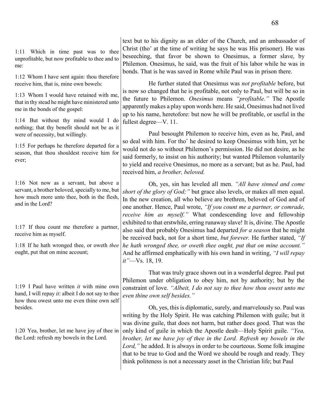| Which in time past was to thee<br>1:11<br>unprofitable, but now profitable to thee and to<br>me:<br>1:12 Whom I have sent again: thou therefore<br>receive him, that is, mine own bowels:<br>1:13 Whom I would have retained with me,<br>that in thy stead he might have ministered unto<br>me in the bonds of the gospel:<br>1:14 But without thy mind would I do | text but to his dignity as an elder of the Church, and an ambassador of<br>Christ (tho' at the time of writing he says he was His prisoner). He was<br>beseeching, that favor be shown to Onesimus, a former slave, by<br>Philemon. Onesimus, he said, was the fruit of his labor while he was in<br>bonds. That is he was saved in Rome while Paul was in prison there.<br>He further stated that Onesimus was not profitable before, but<br>is now so changed that he is profitable, not only to Paul, but will be so in<br>the future to Philemon. Onesimus means "profitable." The Apostle<br>apparently makes a play upon words here. He said, Onesimus had not lived<br>up to his name, heretofore: but now he will be profitable, or useful in the<br>fullest degree—V. 11. |  |  |  |
|--------------------------------------------------------------------------------------------------------------------------------------------------------------------------------------------------------------------------------------------------------------------------------------------------------------------------------------------------------------------|------------------------------------------------------------------------------------------------------------------------------------------------------------------------------------------------------------------------------------------------------------------------------------------------------------------------------------------------------------------------------------------------------------------------------------------------------------------------------------------------------------------------------------------------------------------------------------------------------------------------------------------------------------------------------------------------------------------------------------------------------------------------------------|--|--|--|
| nothing; that thy benefit should not be as it<br>were of necessity, but willingly.                                                                                                                                                                                                                                                                                 | Paul besought Philemon to receive him, even as he, Paul, and<br>so deal with him. For tho' he desired to keep Onesimus with him, yet he<br>would not do so without Philemon's permission. He did not desire, as he<br>said formerly, to insist on his authority; but wanted Philemon voluntarily<br>to yield and receive Onesimus, no more as a servant; but as he. Paul, had<br>received him, a brother, beloved.                                                                                                                                                                                                                                                                                                                                                                 |  |  |  |
| 1:15 For perhaps he therefore departed for a<br>season, that thou shouldest receive him for<br>ever;                                                                                                                                                                                                                                                               |                                                                                                                                                                                                                                                                                                                                                                                                                                                                                                                                                                                                                                                                                                                                                                                    |  |  |  |
| 1:16 Not now as a servant, but above a<br>servant, a brother beloved, specially to me, but<br>how much more unto thee, both in the flesh,<br>and in the Lord?                                                                                                                                                                                                      | Oh, yes, sin has leveled all men. "All have sinned and come<br>short of the glory of God;" but grace also levels, or makes all men equal.<br>In the new creation, all who believe are brethren, beloved of God and of<br>one another. Hence, Paul wrote, "If you count me a partner, or comrade,<br>receive him as myself." What condescending love and fellowship<br>exhibited to that erstwhile, erring runaway slave! It is, divine. The Apostle                                                                                                                                                                                                                                                                                                                                |  |  |  |
| 1:17 If thou count me therefore a partner,<br>receive him as myself.                                                                                                                                                                                                                                                                                               | also said that probably Onesimus had departed for a season that he might<br>be received back, not for a short time, but forever. He further stated, "If                                                                                                                                                                                                                                                                                                                                                                                                                                                                                                                                                                                                                            |  |  |  |
| 1:18 If he hath wronged thee, or oweth thee<br>ought, put that on mine account;                                                                                                                                                                                                                                                                                    | he hath wronged thee, or oweth thee ought, put that on mine account."<br>And he affirmed emphatically with his own hand in writing, "I will repay<br>$it$ "—Vs. 18, 19.                                                                                                                                                                                                                                                                                                                                                                                                                                                                                                                                                                                                            |  |  |  |
| 1:19 I Paul have written <i>it</i> with mine own<br>hand, I will repay $it$ : albeit I do not say to thee<br>how thou owest unto me even thine own self<br>besides.<br>1:20 Yea, brother, let me have joy of thee in<br>the Lord: refresh my bowels in the Lord.                                                                                                   | That was truly grace shown out in a wonderful degree. Paul put<br>Philemon under obligation to obey him, not by authority; but by the<br>constraint of love. "Albeit, I do not say to thee how thou owest unto me<br>even thine own self besides."                                                                                                                                                                                                                                                                                                                                                                                                                                                                                                                                 |  |  |  |
|                                                                                                                                                                                                                                                                                                                                                                    | Oh, yes, this is diplomatic, surely, and marvelously so. Paul was<br>writing by the Holy Spirit. He was catching Philemon with guile; but it<br>was divine guile, that does not harm, but rather does good. That was the<br>only kind of guile in which the Apostle dealt—Holy Spirit guile. "Yea,<br>brother, let me have joy of thee in the Lord. Refresh my bowels in the<br>Lord," he added. It is always in order to be courteous. Some folk imagine<br>that to be true to God and the Word we should be rough and ready. They<br>think politeness is not a necessary asset in the Christian life; but Paul                                                                                                                                                                   |  |  |  |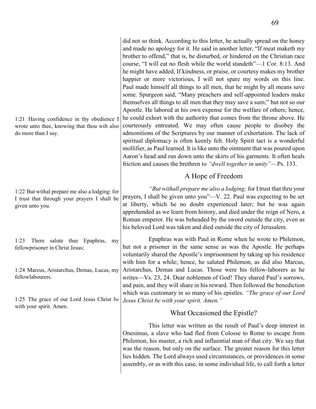did not so think. According to this letter, he actually spread on the honey and made no apology for it. He said in another letter, "If meat maketh my brother to offend," that is, be disturbed, or hindered on the Christian race course, "I will eat no flesh while the world standeth"—1 Cor. 8:13. And he might have added, If kindness, or praise, or courtesy makes my brother happier or more victorious, I will not spare my words on this line. Paul made himself all things to all men, that he might by all means save some. Spurgeon said, "Many preachers and self-appointed leaders make themselves all things to all men that they may save a sum;" but not so our Apostle. He labored at his own expense for the welfare of others; hence, he could exhort with the authority that comes from the throne above. He courteously entreated. We may often cause people to disobey the admonitions of the Scriptures by our manner of exhortation. The lack of spiritual diplomacy is often keenly felt. Holy Spirit tact is a wonderful mollifier, as Paul learned. It is like unto the ointment that was poured upon Aaron's head and ran down unto the skirts of his garments. It often heals friction and causes the brethren to *"dwell together in unity"*—Ps. 133.

## A Hope of Freedom

*"But withall prepare me also a lodging;* for I trust that thru your prayers, I shall be given unto you"—V. 22. Paul was expecting to be set at liberty, which he no doubt experienced later; but he was again apprehended as we learn from history, and died under the reign of Nero, a Roman emperor. He was beheaded by the sword outside the city, even as his beloved Lord was taken and died outside the city of Jerusalem.

Epaphras was with Paul in Rome when he wrote to Philemon, hut not a prisoner in the same sense as was the Apostle. He perhaps voluntarily shared the Apostle's imprisonment by taking up his residence with him for a while; hence, he saluted Philemon, as did also Marcus, Aristarchus, Demas and Lucas. Those were his fellow-laborers as he writes—Vs. 23, 24. Dear noblemen of God! They shared Paul's sorrows, and pain, and they will share in his reward. Then followed the benediction which was customary in so many of his epistles. *"The grace of our Lord Jesus Christ be with your spirit. Amen."*

## What Occasioned the Epistle?

This letter was written as the result of Paul's deep interest in Onesimus, a slave who had fled from Colosse to Rome to escape from Philemon, his master, a rich and influential man of that city. We say that was the reason, but only on the surface. The greater reason for this letter lies hidden. The Lord always used circumstances, or providences in some assembly, or as with this case, in some individual life, to call forth a letter

|                     | 1:21 Having confidence in thy obedience $I$  |  |  |
|---------------------|----------------------------------------------|--|--|
|                     | wrote unto thee, knowing that thou wilt also |  |  |
| do more than I say. |                                              |  |  |

1:22 But withal prepare me also a lodging: for I trust that through your prayers I shall be given unto you.

1:23 There salute thee Epaphras, my fellowprisoner in Christ Jesus;

1:24 Marcus, Aristarchus, Demas, Lucas, my fellowlabourers.

1:25 The grace of our Lord Jesus Christ *be* with your spirit. Amen.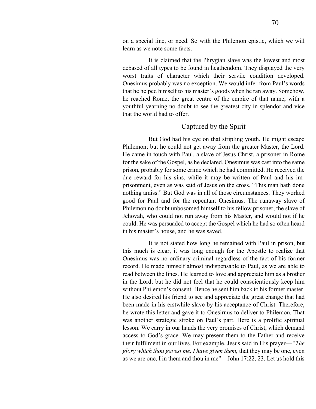on a special line, or need. So with the Philemon epistle, which we will learn as we note some facts.

It is claimed that the Phrygian slave was the lowest and most debased of all types to be found in heathendom. They displayed the very worst traits of character which their servile condition developed. Onesimus probably was no exception. We would infer from Paul's words that he helped himself to his master's goods when he ran away. Somehow, he reached Rome, the great centre of the empire of that name, with a youthful yearning no doubt to see the greatest city in splendor and vice that the world had to offer.

## Captured by the Spirit

But God had his eye on that stripling youth. He might escape Philemon; but he could not get away from the greater Master, the Lord. He came in touch with Paul, a slave of Jesus Christ, a prisoner in Rome for the sake of the Gospel, as he declared. Onesimus was cast into the same prison, probably for some crime which he had committed. He received the due reward for his sins, while it may be written of Paul and his imprisonment, even as was said of Jesus on the cross, "This man hath done nothing amiss." But God was in all of those circumstances. They worked good for Paul and for the repentant Onesimus. The runaway slave of Philemon no doubt unbosomed himself to his fellow prisoner, the slave of Jehovah, who could not run away from his Master, and would not if he could. He was persuaded to accept the Gospel which he had so often heard in his master's house, and he was saved.

It is not stated how long he remained with Paul in prison, but this much is clear, it was long enough for the Apostle to realize that Onesimus was no ordinary criminal regardless of the fact of his former record. He made himself almost indispensable to Paul, as we are able to read between the lines. He learned to love and appreciate him as a brother in the Lord; but he did not feel that he could conscientiously keep him without Philemon's consent. Hence he sent him back to his former master. He also desired his friend to see and appreciate the great change that had been made in his erstwhile slave by his acceptance of Christ. Therefore, he wrote this letter and gave it to Onesirnus to deliver to Philemon. That was another strategic stroke on Paul's part. Here is a prolific spiritual lesson. We carry in our hands the very promises of Christ, which demand access to God's grace. We may present them to the Father and receive their fulfilment in our lives. For example, Jesus said in His prayer—*"The glory which thou gavest me, I have given them,* that they may be one, even as we are one, I in them and thou in me"—John 17:22, 23. Let us hold this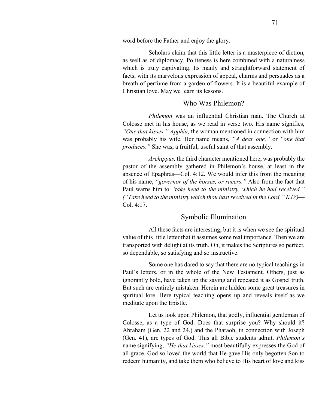word before the Father and enjoy the glory.

Scholars claim that this little letter is a masterpiece of diction, as well as of diplomacy. Politeness is here combined with a naturalness which is truly captivating. Its manly and straightforward statement of facts, with its marvelous expression of appeal, charms and persuades as a breath of perfume from a garden of flowers. It is a beautiful example of Christian love. May we learn its lessons.

### Who Was Philemon?

*Philemon* was an influential Christian man. The Church at Colosse met in his house, as we read in verse two. His name signifies, *"One that kisses." Apphia,* the woman mentioned in connection with him was probably his wife. Her name means, *"A dear one,"* or *"one that produces."* She was, a fruitful, useful saint of that assembly.

*Archippus,* the third character mentioned here, was probably the pastor of the assembly gathered in Philemon's house, at least in the absence of Epaphras—Col. 4:12. We would infer this from the meaning of his name, *"governor of the horses, or racers."* Also from the fact that Paul warns him to *"take heed to the ministry, which he had received." ("Take heed to the ministry which thou hast received in the Lord," KJV)*— Col. 4:17.

## Symbolic Illumination

All these facts are interesting; but it is when we see the spiritual value of this little letter that it assumes some real importance. Then we are transported with delight at its truth. Oh, it makes the Scriptures so perfect, so dependable, so satisfying and so instructive.

Some one has dared to say that there are no typical teachings in Paul's letters, or in the whole of the New Testament. Others, just as ignorantly bold, have taken up the saying and repeated it as Gospel truth. But such are entirely mistaken. Herein are hidden some great treasures in spiritual lore. Here typical teaching opens up and reveals itself as we meditate upon the Epistle.

Let us look upon Philemon, that godly, influential gentleman of Colosse, as a type of God. Does that surprise you? Why should it? Abraham (Gen. 22 and 24,) and the Pharaoh, in connection with Joseph (Gen. 41), are types of God. This all Bible students admit. *Philemon's*  name signifying, *"He that kisses,"* most beautifully expresses the God of all grace. God so loved the world that He gave His only begotten Son to redeem humanity, and take them who believe to His heart of love and kiss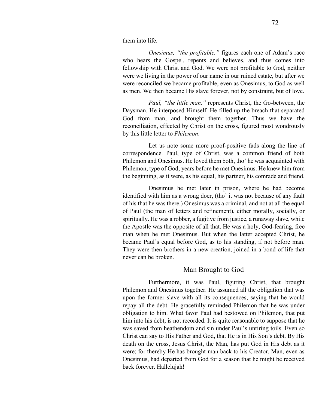them into life.

*Onesimus, "the profitable,"* figures each one of Adam's race who hears the Gospel, repents and believes, and thus comes into fellowship with Christ and God. We were not profitable to God, neither were we living in the power of our name in our ruined estate, but after we were reconciled we became profitable, even as Onesimus, to God as well as men. We then became His slave forever, not by constraint, but of love.

*Paul, "the little man,"* represents Christ, the Go-between, the Daysman. He interposed Himself. He filled up the breach that separated God from man, and brought them together. Thus we have the reconciliation, effected by Christ on the cross, figured most wondrously by this little letter to *Philemon*.

Let us note some more proof-positive fads along the line of correspondence. Paul, type of Christ, was a common friend of both Philemon and Onesimus. He loved them both, tho' he was acquainted with Philemon, type of God, years before he met Onesimus. He knew him from the beginning, as it were, as his equal, his partner, his comrade and friend.

Onesimus he met later in prison, where he had become identified with him as a wrong doer, (tho' it was not because of any fault of his that he was there.) Onesimus was a criminal, and not at all the equal of Paul (the man of letters and refinement), either morally, socially, or spiritually. He was a robber, a fugitive from justice, a runaway slave, while the Apostle was the opposite of all that. He was a holy, God-fearing, free man when he met Onesimus. But when the latter accepted Christ, he became Paul's equal before God, as to his standing, if not before man. They were then brothers in a new creation, joined in a bond of life that never can be broken.

## Man Brought to God

Furthermore, it was Paul, figuring Christ, that brought Philemon and Onesimus together. He assumed all the obligation that was upon the former slave with all its consequences, saying that he would repay all the debt. He gracefully reminded Philemon that he was under obligation to him. What favor Paul had bestowed on Philemon, that put him into his debt, is not recorded. It is quite reasonable to suppose that he was saved from heathendom and sin under Paul's untiring toils. Even so Christ can say to His Father and God, that He is in His Son's debt. By His death on the cross, Jesus Christ, the Man, has put God in His debt as it were; for thereby He has brought man back to his Creator. Man, even as Onesimus, had departed from God for a season that he might be received back forever. Hallelujah!